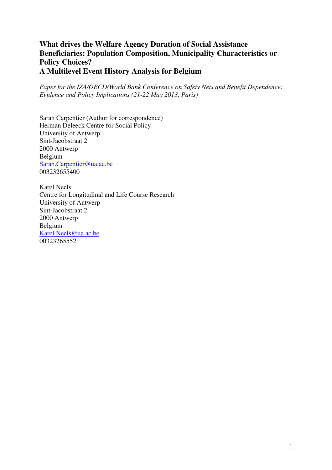# **What drives the Welfare Agency Duration of Social Assistance Beneficiaries: Population Composition, Municipality Characteristics or Policy Choices? A Multilevel Event History Analysis for Belgium**

*Paper for the IZA/OECD/World Bank Conference on Safety Nets and Benefit Dependence: Evidence and Policy Implications (21-22 May 2013, Paris)* 

Sarah Carpentier (Author for correspondence) Herman Deleeck Centre for Social Policy University of Antwerp Sint-Jacobstraat 2 2000 Antwerp Belgium Sarah.Carpentier@ua.ac.be 003232655400

Karel Neels Centre for Longitudinal and Life Course Research University of Antwerp Sint-Jacobstraat 2 2000 Antwerp Belgium Karel.Neels@ua.ac.be 003232655521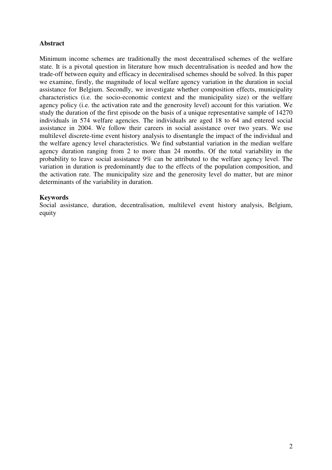## **Abstract**

Minimum income schemes are traditionally the most decentralised schemes of the welfare state. It is a pivotal question in literature how much decentralisation is needed and how the trade-off between equity and efficacy in decentralised schemes should be solved. In this paper we examine, firstly, the magnitude of local welfare agency variation in the duration in social assistance for Belgium. Secondly, we investigate whether composition effects, municipality characteristics (i.e. the socio-economic context and the municipality size) or the welfare agency policy (i.e. the activation rate and the generosity level) account for this variation. We study the duration of the first episode on the basis of a unique representative sample of 14270 individuals in 574 welfare agencies. The individuals are aged 18 to 64 and entered social assistance in 2004. We follow their careers in social assistance over two years. We use multilevel discrete-time event history analysis to disentangle the impact of the individual and the welfare agency level characteristics. We find substantial variation in the median welfare agency duration ranging from 2 to more than 24 months. Of the total variability in the probability to leave social assistance 9% can be attributed to the welfare agency level. The variation in duration is predominantly due to the effects of the population composition, and the activation rate. The municipality size and the generosity level do matter, but are minor determinants of the variability in duration.

### **Keywords**

Social assistance, duration, decentralisation, multilevel event history analysis, Belgium, equity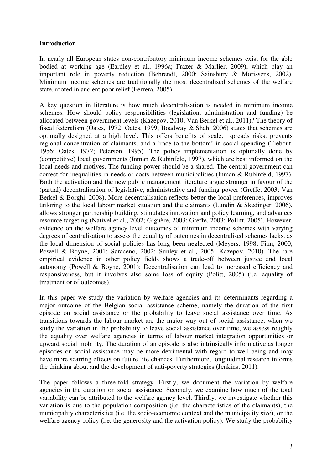## **Introduction**

In nearly all European states non-contributory minimum income schemes exist for the able bodied at working age (Eardley et al., 1996a; Frazer & Marlier, 2009), which play an important role in poverty reduction (Behrendt, 2000; Sainsbury & Morissens, 2002). Minimum income schemes are traditionally the most decentralised schemes of the welfare state, rooted in ancient poor relief (Ferrera, 2005).

A key question in literature is how much decentralisation is needed in minimum income schemes. How should policy responsibilities (legislation, administration and funding) be allocated between government levels (Kazepov, 2010; Van Berkel et al., 2011)? The theory of fiscal federalism (Oates, 1972; Oates, 1999; Boadway & Shah, 2006) states that schemes are optimally designed at a high level. This offers benefits of scale, spreads risks, prevents regional concentration of claimants, and a 'race to the bottom' in social spending (Tiebout, 1956; Oates, 1972; Peterson, 1995). The policy implementation is optimally done by (competitive) local governments (Inman & Rubinfeld, 1997), which are best informed on the local needs and motives. The funding power should be a shared. The central government can correct for inequalities in needs or costs between municipalities (Inman & Rubinfeld, 1997). Both the activation and the new public management literature argue stronger in favour of the (partial) decentralisation of legislative, administrative and funding power (Greffe, 2003; Van Berkel & Borghi, 2008). More decentralisation reflects better the local preferences, improves tailoring to the local labour market situation and the claimants (Lundin & Skedinger, 2006), allows stronger partnership building, stimulates innovation and policy learning, and advances resource targeting (Nativel et al., 2002; Giguère, 2003; Greffe, 2003; Pollitt, 2005). However, evidence on the welfare agency level outcomes of minimum income schemes with varying degrees of centralisation to assess the equality of outcomes in decentralised schemes lacks, as the local dimension of social policies has long been neglected (Meyers, 1998; Finn, 2000; Powell & Boyne, 2001; Saraceno, 2002; Sunley et al., 2005; Kazepov, 2010). The rare empirical evidence in other policy fields shows a trade-off between justice and local autonomy (Powell & Boyne, 2001): Decentralisation can lead to increased efficiency and responsiveness, but it involves also some loss of equity (Politt, 2005) (i.e. equality of treatment or of outcomes).

In this paper we study the variation by welfare agencies and its determinants regarding a major outcome of the Belgian social assistance scheme, namely the duration of the first episode on social assistance or the probability to leave social assistance over time. As transitions towards the labour market are the major way out of social assistance, when we study the variation in the probability to leave social assistance over time, we assess roughly the equality over welfare agencies in terms of labour market integration opportunities or upward social mobility. The duration of an episode is also intrinsically informative as longer episodes on social assistance may be more detrimental with regard to well-being and may have more scarring effects on future life chances. Furthermore, longitudinal research informs the thinking about and the development of anti-poverty strategies (Jenkins, 2011).

The paper follows a three-fold strategy. Firstly, we document the variation by welfare agencies in the duration on social assistance. Secondly, we examine how much of the total variability can be attributed to the welfare agency level. Thirdly, we investigate whether this variation is due to the population composition (i.e. the characteristics of the claimants), the municipality characteristics (i.e. the socio-economic context and the municipality size), or the welfare agency policy (i.e. the generosity and the activation policy). We study the probability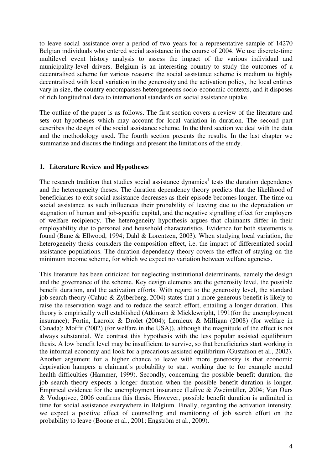to leave social assistance over a period of two years for a representative sample of 14270 Belgian individuals who entered social assistance in the course of 2004. We use discrete-time multilevel event history analysis to assess the impact of the various individual and municipality-level drivers. Belgium is an interesting country to study the outcomes of a decentralised scheme for various reasons: the social assistance scheme is medium to highly decentralised with local variation in the generosity and the activation policy, the local entities vary in size, the country encompasses heterogeneous socio-economic contexts, and it disposes of rich longitudinal data to international standards on social assistance uptake.

The outline of the paper is as follows. The first section covers a review of the literature and sets out hypotheses which may account for local variation in duration. The second part describes the design of the social assistance scheme. In the third section we deal with the data and the methodology used. The fourth section presents the results. In the last chapter we summarize and discuss the findings and present the limitations of the study.

## **1. Literature Review and Hypotheses**

The research tradition that studies social assistance dynamics<sup>1</sup> tests the duration dependency and the heterogeneity theses. The duration dependency theory predicts that the likelihood of beneficiaries to exit social assistance decreases as their episode becomes longer. The time on social assistance as such influences their probability of leaving due to the depreciation or stagnation of human and job-specific capital, and the negative signalling effect for employers of welfare recipiency. The heterogeneity hypothesis argues that claimants differ in their employability due to personal and household characteristics. Evidence for both statements is found (Bane & Ellwood, 1994; Dahl & Lorentzen, 2003). When studying local variation, the heterogeneity thesis considers the composition effect, i.e. the impact of differentiated social assistance populations. The duration dependency theory covers the effect of staying on the minimum income scheme, for which we expect no variation between welfare agencies.

This literature has been criticized for neglecting institutional determinants, namely the design and the governance of the scheme. Key design elements are the generosity level, the possible benefit duration, and the activation efforts. With regard to the generosity level, the standard job search theory (Cahuc & Zylberberg, 2004) states that a more generous benefit is likely to raise the reservation wage and to reduce the search effort, entailing a longer duration. This theory is empirically well established (Atkinson & Micklewright, 1991(for the unemployment insurance); Fortin, Lacroix & Drolet (2004); Lemieux & Milligan (2008) (for welfare in Canada); Moffit (2002) (for welfare in the USA)), although the magnitude of the effect is not always substantial. We contrast this hypothesis with the less popular assisted equilibrium thesis. A low benefit level may be insufficient to survive, so that beneficiaries start working in the informal economy and look for a precarious assisted equilibrium (Gustafson et al., 2002). Another argument for a higher chance to leave with more generosity is that economic deprivation hampers a claimant's probability to start working due to for example mental health difficulties (Hammer, 1999). Secondly, concerning the possible benefit duration, the job search theory expects a longer duration when the possible benefit duration is longer. Empirical evidence for the unemployment insurance (Lalive & Zweimüller, 2004; Van Ours & Vodopivec, 2006 confirms this thesis. However, possible benefit duration is unlimited in time for social assistance everywhere in Belgium. Finally, regarding the activation intensity, we expect a positive effect of counselling and monitoring of job search effort on the probability to leave (Boone et al., 2001; Engström et al., 2009).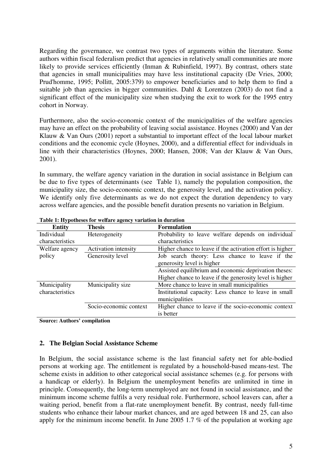Regarding the governance, we contrast two types of arguments within the literature. Some authors within fiscal federalism predict that agencies in relatively small communities are more likely to provide services efficiently (Inman & Rubinfield, 1997). By contrast, others state that agencies in small municipalities may have less institutional capacity (De Vries, 2000; Prud'homme, 1995; Pollitt, 2005:379) to empower beneficiaries and to help them to find a suitable job than agencies in bigger communities. Dahl & Lorentzen (2003) do not find a significant effect of the municipality size when studying the exit to work for the 1995 entry cohort in Norway.

Furthermore, also the socio-economic context of the municipalities of the welfare agencies may have an effect on the probability of leaving social assistance. Hoynes (2000) and Van der Klauw & Van Ours (2001) report a substantial to important effect of the local labour market conditions and the economic cycle (Hoynes, 2000), and a differential effect for individuals in line with their characteristics (Hoynes, 2000; Hansen, 2008; Van der Klauw & Van Ours, 2001).

In summary, the welfare agency variation in the duration in social assistance in Belgium can be due to five types of determinants (see Table 1), namely the population composition, the municipality size, the socio-economic context, the generosity level, and the activation policy. We identify only five determinants as we do not expect the duration dependency to vary across welfare agencies, and the possible benefit duration presents no variation in Belgium.

| <b>Entity</b>   | <b>Thesis</b>          | <b>Formulation</b>                                        |
|-----------------|------------------------|-----------------------------------------------------------|
| Individual      | Heterogeneity          | Probability to leave welfare depends on individual        |
| characteristics |                        | characteristics                                           |
| Welfare agency  | Activation intensity   | Higher chance to leave if the activation effort is higher |
| policy          | Generosity level       | Job search theory: Less chance to leave if the            |
|                 |                        | generosity level is higher                                |
|                 |                        | Assisted equilibrium and economic deprivation theses:     |
|                 |                        | Higher chance to leave if the generosity level is higher  |
| Municipality    | Municipality size      | More chance to leave in small municipalities              |
| characteristics |                        | Institutional capacity: Less chance to leave in small     |
|                 |                        | municipalities                                            |
|                 | Socio-economic context | Higher chance to leave if the socio-economic context      |
|                 |                        | is better                                                 |

**Table 1: Hypotheses for welfare agency variation in duration** 

**Source: Authors' compilation** 

### **2. The Belgian Social Assistance Scheme**

In Belgium, the social assistance scheme is the last financial safety net for able-bodied persons at working age. The entitlement is regulated by a household-based means-test. The scheme exists in addition to other categorical social assistance schemes (e.g. for persons with a handicap or elderly). In Belgium the unemployment benefits are unlimited in time in principle. Consequently, the long-term unemployed are not found in social assistance, and the minimum income scheme fulfils a very residual role. Furthermore, school leavers can, after a waiting period, benefit from a flat-rate unemployment benefit. By contrast, needy full-time students who enhance their labour market chances, and are aged between 18 and 25, can also apply for the minimum income benefit. In June 2005 1.7 % of the population at working age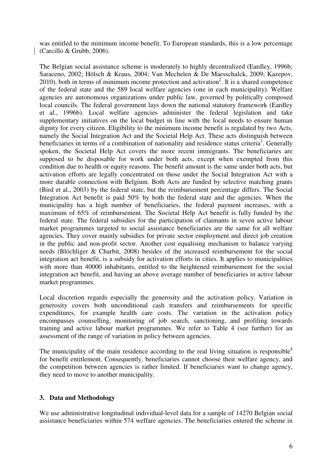was entitled to the minimum income benefit. To European standards, this is a low percentage (Carcillo & Grubb, 2006).

The Belgian social assistance scheme is moderately to highly decentralized (Eardley, 1996b; Saraceno, 2002; Hölsch & Kraus, 2004; Van Mechelen & De Maesschalck, 2009; Kazepov,  $2010$ ), both in terms of minimum income protection and activation<sup>2</sup>. It is a shared competence of the federal state and the 589 local welfare agencies (one in each municipality). Welfare agencies are autonomous organizations under public law, governed by politically composed local councils. The federal government lays down the national statutory framework (Eardley et al., 1996b). Local welfare agencies administer the federal legislation and take supplementary initiatives on the local budget in line with the local needs to ensure human dignity for every citizen. Eligibility to the minimum income benefit is regulated by two Acts, namely the Social Integration Act and the Societal Help Act. These acts distinguish between beneficiaries in terms of a combination of nationality and residence status criteria<sup>3</sup>. Generally spoken, the Societal Help Act covers the more recent immigrants. The beneficiaries are supposed to be disposable for work under both acts, except when exempted from this condition due to health or equity reasons. The benefit amount is the same under both acts, but activation efforts are legally concentrated on those under the Social Integration Act with a more durable connection with Belgium. Both Acts are funded by selective matching grants (Bird et al., 2003) by the federal state, but the reimbursement percentage differs. The Social Integration Act benefit is paid 50% by both the federal state and the agencies. When the municipality has a high number of beneficiaries, the federal payment increases, with a maximum of 65% of reimbursement. The Societal Help Act benefit is fully funded by the federal state. The federal subsidies for the participation of claimants in seven active labour market programmes targeted to social assistance beneficiaries are the same for all welfare agencies. They cover mainly subsidies for private sector employment and direct job creation in the public and non-profit sector. Another cost equalising mechanism to balance varying needs (Blöchliger & Charbit, 2008) besides of the increased reimbursement for the social integration act benefit, is a subsidy for activation efforts in cities. It applies to municipalities with more than 40000 inhabitants, entitled to the heightened reimbursement for the social integration act benefit, and having an above average number of beneficiaries in active labour market programmes.

Local discretion regards especially the generosity and the activation policy. Variation in generosity covers both unconditional cash transfers and reimbursements for specific expenditures, for example health care costs. The variation in the activation policy encompasses counselling, monitoring of job search, sanctioning, and profiling towards training and active labour market programmes. We refer to Table 4 (see further) for an assessment of the range of variation in policy between agencies.

The municipality of the main residence according to the real living situation is responsible<sup>4</sup> for benefit entitlement. Consequently, beneficiaries cannot choose their welfare agency, and the competition between agencies is rather limited. If beneficiaries want to change agency, they need to move to another municipality.

## **3. Data and Methodology**

We use administrative longitudinal individual-level data for a sample of 14270 Belgian social assistance beneficiaries within 574 welfare agencies. The beneficiaries entered the scheme in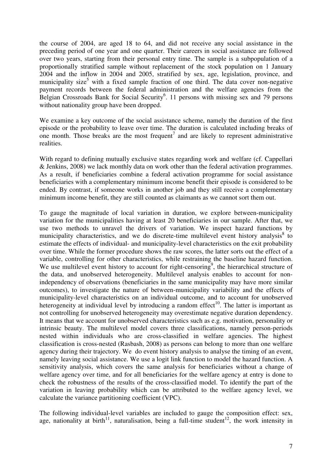the course of 2004, are aged 18 to 64, and did not receive any social assistance in the preceding period of one year and one quarter. Their careers in social assistance are followed over two years, starting from their personal entry time. The sample is a subpopulation of a proportionally stratified sample without replacement of the stock population on 1 January 2004 and the inflow in 2004 and 2005, stratified by sex, age, legislation, province, and municipality size<sup>5</sup> with a fixed sample fraction of one third. The data cover non-negative payment records between the federal administration and the welfare agencies from the Belgian Crossroads Bank for Social Security<sup>6</sup>. 11 persons with missing sex and 79 persons without nationality group have been dropped.

We examine a key outcome of the social assistance scheme, namely the duration of the first episode or the probability to leave over time. The duration is calculated including breaks of one month. Those breaks are the most frequent<sup>7</sup> and are likely to represent administrative realities.

With regard to defining mutually exclusive states regarding work and welfare (cf. Cappellari & Jenkins, 2008) we lack monthly data on work other than the federal activation programmes. As a result, if beneficiaries combine a federal activation programme for social assistance beneficiaries with a complementary minimum income benefit their episode is considered to be ended. By contrast, if someone works in another job and they still receive a complementary minimum income benefit, they are still counted as claimants as we cannot sort them out.

To gauge the magnitude of local variation in duration, we explore between-municipality variation for the municipalities having at least 20 beneficiaries in our sample. After that, we use two methods to unravel the drivers of variation. We inspect hazard functions by municipality characteristics, and we do discrete-time multilevel event history analysis<sup>8</sup> to estimate the effects of individual- and municipality-level characteristics on the exit probability over time. While the former procedure shows the raw scores, the latter sorts out the effect of a variable, controlling for other characteristics, while restraining the baseline hazard function. We use multilevel event history to account for right-censoring<sup>9</sup>, the hierarchical structure of the data, and unobserved heterogeneity. Multilevel analysis enables to account for nonindependency of observations (beneficiaries in the same municipality may have more similar outcomes), to investigate the nature of between-municipality variability and the effects of municipality-level characteristics on an individual outcome, and to account for unobserved heterogeneity at individual level by introducing a random effect<sup>10</sup>. The latter is important as not controlling for unobserved heterogeneity may overestimate negative duration dependency. It means that we account for unobserved characteristics such as e.g. motivation, personality or intrinsic beauty. The multilevel model covers three classifications, namely person-periods nested within individuals who are cross-classified in welfare agencies. The highest classification is cross-nested (Rasbash, 2008) as persons can belong to more than one welfare agency during their trajectory. We do event history analysis to analyse the timing of an event, namely leaving social assistance. We use a logit link function to model the hazard function. A sensitivity analysis, which covers the same analysis for beneficiaries without a change of welfare agency over time, and for all beneficiaries for the welfare agency at entry is done to check the robustness of the results of the cross-classified model. To identify the part of the variation in leaving probability which can be attributed to the welfare agency level, we calculate the variance partitioning coefficient (VPC).

The following individual-level variables are included to gauge the composition effect: sex, age, nationality at birth<sup>11</sup>, naturalisation, being a full-time student<sup>12</sup>, the work intensity in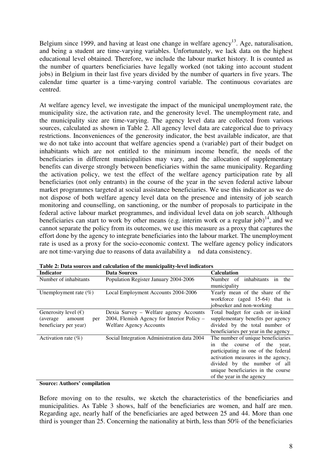Belgium since 1999, and having at least one change in welfare agency<sup>13</sup>. Age, naturalisation, and being a student are time-varying variables. Unfortunately, we lack data on the highest educational level obtained. Therefore, we include the labour market history. It is counted as the number of quarters beneficiaries have legally worked (not taking into account student jobs) in Belgium in their last five years divided by the number of quarters in five years. The calendar time quarter is a time-varying control variable. The continuous covariates are centred.

At welfare agency level, we investigate the impact of the municipal unemployment rate, the municipality size, the activation rate, and the generosity level. The unemployment rate, and the municipality size are time-varying. The agency level data are collected from various sources, calculated as shown in Table 2. All agency level data are categorical due to privacy restrictions. Inconveniences of the generosity indicator, the best available indicator, are that we do not take into account that welfare agencies spend a (variable) part of their budget on inhabitants which are not entitled to the minimum income benefit, the needs of the beneficiaries in different municipalities may vary, and the allocation of supplementary benefits can diverge strongly between beneficiaries within the same municipality. Regarding the activation policy, we test the effect of the welfare agency participation rate by all beneficiaries (not only entrants) in the course of the year in the seven federal active labour market programmes targeted at social assistance beneficiaries. We use this indicator as we do not dispose of both welfare agency level data on the presence and intensity of job search monitoring and counselling, on sanctioning, or the number of proposals to participate in the federal active labour market programmes, and individual level data on job search. Although beneficiaries can start to work by other means (e.g. interim work or a regular job)<sup>14</sup>, and we cannot separate the policy from its outcomes, we use this measure as a proxy that captures the effort done by the agency to integrate beneficiaries into the labour market. The unemployment rate is used as a proxy for the socio-economic context. The welfare agency policy indicators are not time-varying due to reasons of data availability a nd data consistency.

| <b>Indicator</b>              | <b>Data Sources</b>                         | <b>Calculation</b>                    |  |  |  |  |  |  |
|-------------------------------|---------------------------------------------|---------------------------------------|--|--|--|--|--|--|
| Number of inhabitants         | Population Register January 2004-2006       | inhabitants<br>Number of<br>the<br>in |  |  |  |  |  |  |
|                               |                                             | municipality                          |  |  |  |  |  |  |
| Unemployment rate $(\%)$      | Local Employment Accounts 2004-2006         | Yearly mean of the share of the       |  |  |  |  |  |  |
|                               |                                             | workforce (aged 15-64) that is        |  |  |  |  |  |  |
|                               |                                             | jobseeker and non-working             |  |  |  |  |  |  |
| Generosity level $(\epsilon)$ | Dexia Survey – Welfare agency Accounts      | Total budget for cash or in-kind      |  |  |  |  |  |  |
| (average)<br>amount<br>per    | 2004, Flemish Agency for Interior Policy –  | supplementary benefits per agency     |  |  |  |  |  |  |
| beneficiary per year)         | <b>Welfare Agency Accounts</b>              | divided by the total number of        |  |  |  |  |  |  |
|                               |                                             | beneficiaries per year in the agency  |  |  |  |  |  |  |
| Activation rate $(\%)$        | Social Integration Administration data 2004 | The number of unique beneficiaries    |  |  |  |  |  |  |
|                               |                                             | the course of the year,<br>in         |  |  |  |  |  |  |
|                               |                                             | participating in one of the federal   |  |  |  |  |  |  |
|                               |                                             | activation measures in the agency,    |  |  |  |  |  |  |
|                               |                                             | divided by the number of all          |  |  |  |  |  |  |
|                               |                                             | unique beneficiaries in the course    |  |  |  |  |  |  |
|                               |                                             | of the year in the agency             |  |  |  |  |  |  |

**Table 2: Data sources and calculation of the municipality-level indicators** 

#### **Source: Authors' compilation**

Before moving on to the results, we sketch the characteristics of the beneficiaries and municipalities. As Table 3 shows, half of the beneficiaries are women, and half are men. Regarding age, nearly half of the beneficiaries are aged between 25 and 44. More than one third is younger than 25. Concerning the nationality at birth, less than 50% of the beneficiaries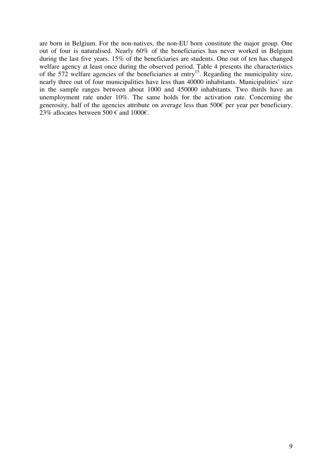are born in Belgium. For the non-natives, the non-EU born constitute the major group. One out of four is naturalised. Nearly 60% of the beneficiaries has never worked in Belgium during the last five years. 15% of the beneficiaries are students. One out of ten has changed welfare agency at least once during the observed period. Table 4 presents the characteristics of the 572 welfare agencies of the beneficiaries at entry<sup>15</sup>. Regarding the municipality size, nearly three out of four municipalities have less than 40000 inhabitants. Municipalities' size in the sample ranges between about 1000 and 450000 inhabitants. Two thirds have an unemployment rate under 10%. The same holds for the activation rate. Concerning the generosity, half of the agencies attribute on average less than 500€ per year per beneficiary. 23% allocates between 500 € and 1000€.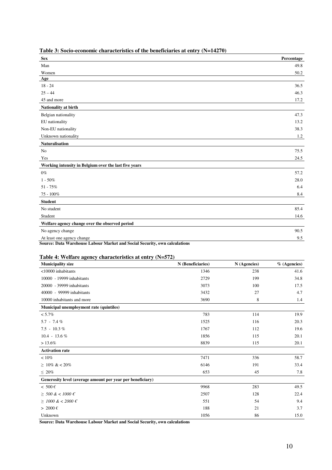| <b>Sex</b>                                            | Percentage |
|-------------------------------------------------------|------------|
| Man                                                   | 49.8       |
| Women                                                 | 50.2       |
| Age                                                   |            |
| $18 - 24$                                             | 36.5       |
| $25 - 44$                                             | 46.3       |
| 45 and more                                           | 17.2       |
| Nationality at birth                                  |            |
| Belgian nationality                                   | 47.3       |
| EU nationality                                        | 13.2       |
| Non-EU nationality                                    | 38.3       |
| Unknown nationality                                   | 1.2        |
| <b>Naturalisation</b>                                 |            |
| No                                                    | 75.5       |
| Yes                                                   | 24.5       |
| Working intensity in Belgium over the last five years |            |
| $0\%$                                                 | 57.2       |
| $1 - 50\%$                                            | 28.0       |
| $51 - 75%$                                            | 6.4        |
| 75 - 100%                                             | 8.4        |
| <b>Student</b>                                        |            |
| No student                                            | 85.4       |
| Student                                               | 14.6       |
| Welfare agency change over the observed period        |            |
| No agency change                                      | 90.5       |
| At least one agency change                            | 9.5        |

#### **Table 3: Socio-economic characteristics of the beneficiaries at entry (N=14270)**

**Source: Data Warehouse Labour Market and Social Security, own calculations** 

#### **Table 4: Welfare agency characteristics at entry (N=572)**

| <b>Municipality size</b>                                   | N (Beneficiaries) | N (Agencies) | $%$ (Agencies) |
|------------------------------------------------------------|-------------------|--------------|----------------|
| $<$ 10000 inhabitants                                      | 1346              | 238          | 41.6           |
| 10000 - 19999 inhabitants                                  | 2729              | 199          | 34.8           |
| 20000 - 39999 inhabitants                                  | 3073              | 100          | 17.5           |
| 40000 - 99999 inhabitants                                  | 3432              | 27           | 4.7            |
| 10000 inhabitants and more                                 | 3690              | 8            | 1.4            |
| Municipal unemployment rate (quintiles)                    |                   |              |                |
| $< 5.7\%$                                                  | 783               | 114          | 19.9           |
| $5.7 - 7.4\%$                                              | 1525              | 116          | 20.3           |
| $7.5 - 10.3\%$                                             | 1767              | 112          | 19.6           |
| $10.4 - 13.6\%$                                            | 1856              | 115          | 20.1           |
| $> 13.6\%$                                                 | 8839              | 115          | 20.1           |
| <b>Activation rate</b>                                     |                   |              |                |
| $< 10\%$                                                   | 7471              | 336          | 58.7           |
| $\geq 10\% \& 10\%$                                        | 6146              | 191          | 33.4           |
| $\leq 20\%$                                                | 653               | 45           | 7.8            |
| Generosity level (average amount per year per beneficiary) |                   |              |                |
| $< 500 \text{ } \in$                                       | 9968              | 283          | 49.5           |
| $>$ 500 & < 1000 €                                         | 2507              | 128          | 22.4           |
| $\geq$ 1000 & < 2000 €                                     | 551               | 54           | 9.4            |
| $>2000 \text{ } \in$                                       | 188               | 21           | 3.7            |
| Unknown                                                    | 1056              | 86           | 15.0           |

**Source: Data Warehouse Labour Market and Social Security, own calculations**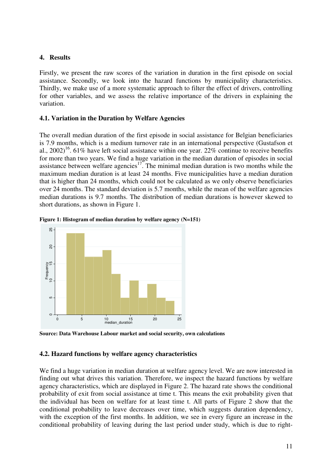## **4. Results**

Firstly, we present the raw scores of the variation in duration in the first episode on social assistance. Secondly, we look into the hazard functions by municipality characteristics. Thirdly, we make use of a more systematic approach to filter the effect of drivers, controlling for other variables, and we assess the relative importance of the drivers in explaining the variation.

## **4.1. Variation in the Duration by Welfare Agencies**

The overall median duration of the first episode in social assistance for Belgian beneficiaries is 7.9 months, which is a medium turnover rate in an international perspective (Gustafson et al.,  $2002$ <sup>16</sup>. 61% have left social assistance within one year. 22% continue to receive benefits for more than two years. We find a huge variation in the median duration of episodes in social assistance between welfare agencies<sup>17</sup>. The minimal median duration is two months while the maximum median duration is at least 24 months. Five municipalities have a median duration that is higher than 24 months, which could not be calculated as we only observe beneficiaries over 24 months. The standard deviation is 5.7 months, while the mean of the welfare agencies median durations is 9.7 months. The distribution of median durations is however skewed to short durations, as shown in Figure 1.



**Figure 1: Histogram of median duration by welfare agency (N=151)** 

**Source: Data Warehouse Labour market and social security, own calculations** 

### **4.2. Hazard functions by welfare agency characteristics**

We find a huge variation in median duration at welfare agency level. We are now interested in finding out what drives this variation. Therefore, we inspect the hazard functions by welfare agency characteristics, which are displayed in Figure 2. The hazard rate shows the conditional probability of exit from social assistance at time t. This means the exit probability given that the individual has been on welfare for at least time t. All parts of Figure 2 show that the conditional probability to leave decreases over time, which suggests duration dependency, with the exception of the first months. In addition, we see in every figure an increase in the conditional probability of leaving during the last period under study, which is due to right-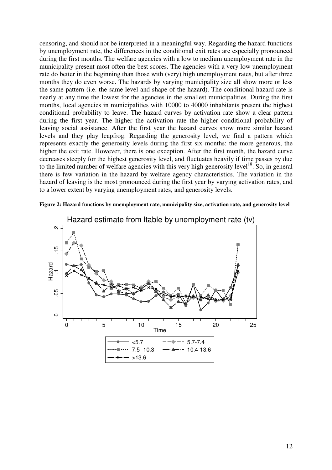censoring, and should not be interpreted in a meaningful way. Regarding the hazard functions by unemployment rate, the differences in the conditional exit rates are especially pronounced during the first months. The welfare agencies with a low to medium unemployment rate in the municipality present most often the best scores. The agencies with a very low unemployment rate do better in the beginning than those with (very) high unemployment rates, but after three months they do even worse. The hazards by varying municipality size all show more or less the same pattern (i.e. the same level and shape of the hazard). The conditional hazard rate is nearly at any time the lowest for the agencies in the smallest municipalities. During the first months, local agencies in municipalities with 10000 to 40000 inhabitants present the highest conditional probability to leave. The hazard curves by activation rate show a clear pattern during the first year. The higher the activation rate the higher conditional probability of leaving social assistance. After the first year the hazard curves show more similar hazard levels and they play leapfrog. Regarding the generosity level, we find a pattern which represents exactly the generosity levels during the first six months: the more generous, the higher the exit rate. However, there is one exception. After the first month, the hazard curve decreases steeply for the highest generosity level, and fluctuates heavily if time passes by due to the limited number of welfare agencies with this very high generosity level<sup>18</sup>. So, in general there is few variation in the hazard by welfare agency characteristics. The variation in the hazard of leaving is the most pronounced during the first year by varying activation rates, and to a lower extent by varying unemployment rates, and generosity levels.



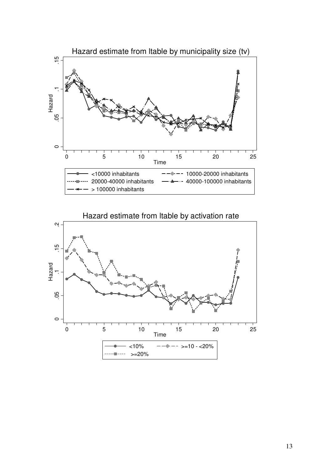

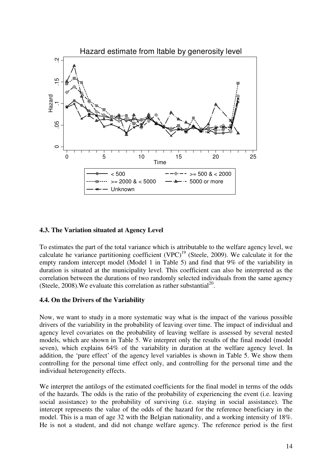

## **4.3. The Variation situated at Agency Level**

To estimates the part of the total variance which is attributable to the welfare agency level, we calculate he variance partitioning coefficient  $(VPC)^{19}$  (Steele, 2009). We calculate it for the empty random intercept model (Model 1 in Table 5) and find that 9% of the variability in duration is situated at the municipality level. This coefficient can also be interpreted as the correlation between the durations of two randomly selected individuals from the same agency (Steele, 2008). We evaluate this correlation as rather substantial<sup>20</sup>.

### **4.4. On the Drivers of the Variability**

Now, we want to study in a more systematic way what is the impact of the various possible drivers of the variability in the probability of leaving over time. The impact of individual and agency level covariates on the probability of leaving welfare is assessed by several nested models, which are shown in Table 5. We interpret only the results of the final model (model seven), which explains 64% of the variability in duration at the welfare agency level. In addition, the 'pure effect' of the agency level variables is shown in Table 5. We show them controlling for the personal time effect only, and controlling for the personal time and the individual heterogeneity effects.

We interpret the antilogs of the estimated coefficients for the final model in terms of the odds of the hazards. The odds is the ratio of the probability of experiencing the event (i.e. leaving social assistance) to the probability of surviving (i.e. staying in social assistance). The intercept represents the value of the odds of the hazard for the reference beneficiary in the model. This is a man of age 32 with the Belgian nationality, and a working intensity of 18%. He is not a student, and did not change welfare agency. The reference period is the first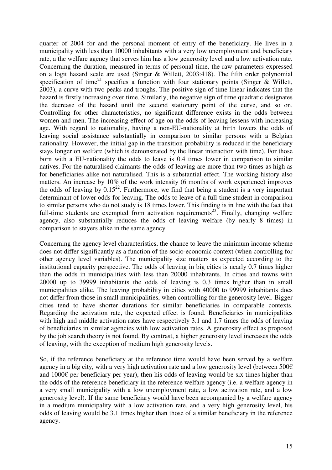quarter of 2004 for and the personal moment of entry of the beneficiary. He lives in a municipality with less than 10000 inhabitants with a very low unemployment and beneficiary rate, a the welfare agency that serves him has a low generosity level and a low activation rate. Concerning the duration, measured in terms of personal time, the raw parameters expressed on a logit hazard scale are used (Singer & Willett, 2003:418). The fifth order polynomial specification of time<sup>21</sup> specifies a function with four stationary points (Singer  $\&$  Willett, 2003), a curve with two peaks and troughs. The positive sign of time linear indicates that the hazard is firstly increasing over time. Similarly, the negative sign of time quadratic designates the decrease of the hazard until the second stationary point of the curve, and so on. Controlling for other characteristics, no significant difference exists in the odds between women and men. The increasing effect of age on the odds of leaving lessens with increasing age. With regard to nationality, having a non-EU-nationality at birth lowers the odds of leaving social assistance substantially in comparison to similar persons with a Belgian nationality. However, the initial gap in the transition probability is reduced if the beneficiary stays longer on welfare (which is demonstrated by the linear interaction with time). For those born with a EU-nationality the odds to leave is 0.4 times lower in comparison to similar natives. For the naturalised claimants the odds of leaving are more than two times as high as for beneficiaries alike not naturalised. This is a substantial effect. The working history also matters. An increase by 10% of the work intensity (6 months of work experience) improves the odds of leaving by  $0.15^{22}$ . Furthermore, we find that being a student is a very important determinant of lower odds for leaving. The odds to leave of a full-time student in comparison to similar persons who do not study is 18 times lower. This finding is in line with the fact that full-time students are exempted from activation requirements<sup>23</sup>. Finally, changing welfare agency, also substantially reduces the odds of leaving welfare (by nearly 8 times) in comparison to stayers alike in the same agency.

Concerning the agency level characteristics, the chance to leave the minimum income scheme does not differ significantly as a function of the socio-economic context (when controlling for other agency level variables). The municipality size matters as expected according to the institutional capacity perspective. The odds of leaving in big cities is nearly 0.7 times higher than the odds in municipalities with less than 20000 inhabitants. In cities and towns with 20000 up to 39999 inhabitants the odds of leaving is 0.3 times higher than in small municipalities alike. The leaving probability in cities with 40000 to 99999 inhabitants does not differ from those in small municipalities, when controlling for the generosity level. Bigger cities tend to have shorter durations for similar beneficiaries in comparable contexts. Regarding the activation rate, the expected effect is found. Beneficiaries in municipalities with high and middle activation rates have respectively 3.1 and 1.7 times the odds of leaving of beneficiaries in similar agencies with low activation rates. A generosity effect as proposed by the job search theory is not found. By contrast, a higher generosity level increases the odds of leaving, with the exception of medium high generosity levels.

So, if the reference beneficiary at the reference time would have been served by a welfare agency in a big city, with a very high activation rate and a low generosity level (between  $500 \epsilon$ ) and  $1000\epsilon$  per beneficiary per year), then his odds of leaving would be six times higher than the odds of the reference beneficiary in the reference welfare agency (i.e. a welfare agency in a very small municipality with a low unemployment rate, a low activation rate, and a low generosity level). If the same beneficiary would have been accompanied by a welfare agency in a medium municipality with a low activation rate, and a very high generosity level, his odds of leaving would be 3.1 times higher than those of a similar beneficiary in the reference agency.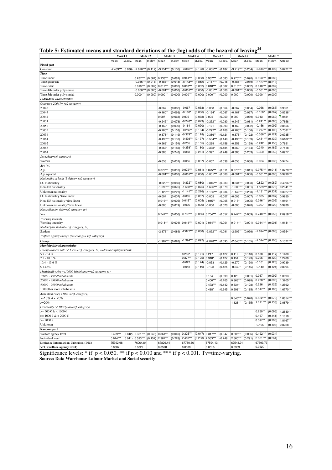| тэмникл темпэ ини эмпинги ис                                              |            |         |                                                          | ,,,,,,,,,, | vı                  |         | $\mathbf{w}_n$      | vuus vi          | .                   |         |                     | <b>IVU 7 111</b> |                              |                  |                    |
|---------------------------------------------------------------------------|------------|---------|----------------------------------------------------------|------------|---------------------|---------|---------------------|------------------|---------------------|---------|---------------------|------------------|------------------------------|------------------|--------------------|
|                                                                           | Model 1    |         | Model 2                                                  |            | Model 3             |         | Model 4             |                  | Model 5             |         | Model 6             |                  |                              | Model 7          |                    |
|                                                                           | Mean       | St.dev. | Mean                                                     | St.dev.    | Mean                | St.dev. | Mean                | St.dev.          | Mean                | St.dev. | Mean                | St.dev.          | Mean                         | St.dev.          | Antilog            |
| <b>Fixed part</b>                                                         |            |         |                                                          |            |                     |         |                     |                  |                     |         |                     |                  |                              |                  |                    |
| Constant                                                                  | $-2.439**$ | (0.036) | $-2.620***$                                              | (0.112)    | $-3.251***$         | (0.136) | $-3.382*$           | (0.168)          | $-3.605**$          | (0.187) | $-3.719***$         | (0.204)          | $-3.814***$                  | (0.196)          | $0.0221**$         |
| Time                                                                      |            |         |                                                          |            |                     |         |                     |                  |                     |         |                     |                  |                              |                  |                    |
| Time linear                                                               |            |         | $0.287***$                                               | (0.064)    | 0.933***            | (0.082) | 0.941***            | (0.083)          | 0.967**             | (0.083) | 0.970***            | (0.090)          | 0.963***                     | (0.086)          |                    |
| Time quadratic                                                            |            |         | $-0.086***$                                              |            | $(0.015)$ -0.183*** |         | $(0.018)$ -0.184*** |                  | $(0.018) -0.187***$ | (0.018) | $-0.188***$         | (0.019)          | $-0.187***$                  | (0.019)          |                    |
|                                                                           |            |         |                                                          |            |                     |         |                     |                  |                     |         |                     | (0.002)          | $0.018***$                   |                  |                    |
| Time cubic                                                                |            |         | $0.010***$                                               | (0.002)    | $0.017***$          | (0.002) | $0.018***$          |                  | $(0.002)$ 0.018***  | (0.002) | $0.018***$          |                  |                              | (0.002)          |                    |
| Time 4th order polynomial                                                 |            |         | $-0.000***$                                              | (0.000)    | $-0.001***$         |         | $(0.000)$ -0.001*** |                  | $(0.000)$ -0.001*** | (0.000) | $-0.001***$         | (0.000)          | $-0.001***$ (0.000)          |                  |                    |
| Time 5th order polynomial                                                 |            |         | $0.000***$                                               | (0.000)    | $ 0.000***$         | (0.000) | $0.000***$          |                  | $(0.000)$ 0.000***  | (0.000) | $0.000***$          | (0.000)          | $0.000***$                   | (0.000)          |                    |
| <b>Individual characteristics</b>                                         |            |         |                                                          |            |                     |         |                     |                  |                     |         |                     |                  |                              |                  |                    |
| Quarter ( $20041 = ref. \, category$ )                                    |            |         |                                                          |            |                     |         |                     |                  |                     |         |                     |                  |                              |                  |                    |
| 20042                                                                     |            |         |                                                          |            | $-0.067$            | (0.062) | $-0.067$            | $(0.063) -0.068$ |                     | (0.064) | $-0.067$            | (0.064)          | $-0.066$                     | (0.063)          | 0.9361             |
| 20043                                                                     |            |         |                                                          |            | $-0.160**$          | (0.066) | $-0.163$            | $(0.066) -0.164$ |                     | (0.067) | $-0.161$            | (0.067)          | $-0.158$                     | (0.067)          | 0.8538             |
| 20044                                                                     |            |         |                                                          |            | 0.007               | (0.068) | 0.005               | (0.068) 0.004    |                     | (0.069) | 0.009               | (0.069)          | 0.013                        | (0.069)          | 1.0131             |
| 20051                                                                     |            |         |                                                          |            | -0.245**            | (0.078) | $-0.248"$           |                  | $(0.079) -0.252*$   | (0.080) | $-0.245'$           | (0.081)          | $-0.241"$                    | (0.080)          | $0.7858*$          |
| 20052                                                                     |            |         |                                                          |            |                     |         | -0.164              | (0.090)          | $-0.171$            |         |                     | (0.092)          | -0.156                       | (0.092)          | 0.8556             |
|                                                                           |            |         |                                                          |            | $-0.162*$           | (0.090) |                     |                  |                     | (0.093) | $-0.162$            |                  |                              |                  |                    |
| 20053                                                                     |            |         |                                                          |            | $-0.285**$          | (0.103) | $-0.286*$           |                  | $(0.104)$ -0.292*   | (0.106) | $-0.283**$          | (0.106)          | $-0.277**$                   | (0.106)          | $0.7581**$         |
| 20054                                                                     |            |         |                                                          |            | $-0.378**$          | (0.119) | $-0.379*$           | (0.118)          | $-0.386*$           | (0.121) | $-0.376*$           | (0.122)          | $-0.366**$                   | (0.121)          | 0.6935**           |
| 20061                                                                     |            |         |                                                          |            | $-0.498***$         | (0.137) | $-0.493"$           |                  | $(0.137)$ -0.504**  | (0.140) | $-0.495***$         | (0.139)          | $-0.481$                     | (0.139)          | 0.6182**           |
| 20062                                                                     |            |         |                                                          |            | $-0.263*$           | (0.154) | -0.255              | $(0.155) -0.269$ |                     | (0.156) | $-0.258$            | (0.159)          | -0.242                       | (0.156)          | 0.7851             |
| 20063                                                                     |            |         |                                                          |            | $-0.366"$           | (0.183) | $-0.358$            |                  | $(0.180)$ -0.373    | (0.184) | $-0.360'$           | (0.184)          | -0.340                       | (0.182)          | 0.7118             |
| 20064                                                                     |            |         |                                                          |            | $-0.388$            | (0.248) | $-0.383$            | $(0.251) -0.397$ |                     | (0.249) | $-0.388$            | (0.253)          | $-0.360$                     | (0.252)          | 0.6977             |
| Sex (Man=ref. category)                                                   |            |         |                                                          |            |                     |         |                     |                  |                     |         |                     |                  |                              |                  |                    |
| Woman                                                                     |            |         |                                                          |            | $-0.058$            | (0.037) | $-0.055$            | $(0.037) -0.057$ |                     | (0.038) | $-0.053$            | (0.038)          | $-0.054$                     | (0.038)          | 0.9474             |
|                                                                           |            |         |                                                          |            |                     |         |                     |                  |                     |         |                     |                  |                              |                  |                    |
| Age(w)                                                                    |            |         |                                                          |            |                     |         |                     |                  |                     |         |                     |                  |                              |                  |                    |
| Age                                                                       |            |         |                                                          |            | $0.072***$          |         | $(0.010)$ 0.072***  |                  | $(0.011)$ 0.075***  | (0.011) | 0.076***            | (0.011)          | 0.075***                     | (0.011)          | 1.0779**           |
| Age squared                                                               |            |         |                                                          |            | $-0.001***$         |         | $(0.000)$ -0.001*** |                  | $(0.000)$ -0.001*** | (0.000) | $-0.001***$         | (0.000)          | $-0.001***$                  | (0.000)          | 0.9990**           |
| Nationality at birth (Belgian= ref. category)                             |            |         |                                                          |            |                     |         |                     |                  |                     |         |                     |                  |                              |                  |                    |
| EU Nationality                                                            |            |         |                                                          |            | $-0.829***$         | (0.080) | $-0.832***$         |                  | $(0.080)$ -0.845*** | (0.083) | $-0.834***$ (0.083) |                  | $-0.822***$ (0.082)          |                  | 0.4396**           |
| Non-EU nationality                                                        |            |         |                                                          |            | $-1.590***$         | (0.076) | $-1.598*$           |                  | $(0.075)$ -1.626**  | (0.079) | $-1.603***$         | (0.081)          | $-1.589*$                    | (0.079)          | $0.2041**$         |
| Unknown nationality                                                       |            |         |                                                          |            | $-1.122***$         | (0.227) | $-1.141'$           | (0.226)          | $-1.166***$         | (0.234) | $-1.142***$         | (0.233)          | $-1.131*$                    | (0.231)          | $0.3227**$         |
| EU Nationality *time linear                                               |            |         |                                                          |            | $-0.004$            | (0.007) | $-0.005$            | $(0.007)$ -0.005 |                     | (0.007) | $-0.005$            | (0.007)          | -0.005                       | (0.007)          | 0.9950             |
| Non-EU nationality *time linear                                           |            |         |                                                          |            | $0.016***$          |         | $(0.005)$ 0.015**   |                  | $(0.005)$ 0.015**   | (0.005) | $0.015**$           | (0.005)          | 0.016**                      | (0.005)          | 1.0161**           |
| Unknown nationality*time linear                                           |            |         |                                                          |            |                     |         | $-0.006$            |                  |                     |         |                     |                  | $-0.007$                     | (0.020)          |                    |
|                                                                           |            |         |                                                          |            | $-0.006$            | (0.019) |                     | $(0.020) -0.006$ |                     | (0.020) | $-0.006$            | (0.020)          |                              |                  | 0.9930             |
| Naturalisation (No=ref. category, tv)                                     |            |         |                                                          |            |                     |         |                     |                  |                     |         |                     |                  |                              |                  |                    |
| Yes                                                                       |            |         |                                                          |            | $0.742***$          |         | $(0.056)$ 0.752***  |                  | $(0.056)$ 0.754**   | (0.057) | $0.747***$          | (0.059)          | $0.740***$                   | (0.058)          | 2.0959**           |
| Working intensity                                                         |            |         |                                                          |            |                     |         |                     |                  |                     |         |                     |                  |                              |                  |                    |
| Working intensity                                                         |            |         |                                                          |            | $0.014***$          |         | $(0.001)$ 0.014***  |                  | $(0.001)$ 0.014**   | (0.001) | 0.014***            | (0.001)          | $0.014***$                   | (0.001)          | $1.0141**$         |
| Student (No student= ref. category, tv)                                   |            |         |                                                          |            |                     |         |                     |                  |                     |         |                     |                  |                              |                  |                    |
| Student                                                                   |            |         |                                                          |            | $-2.876***$         |         | $(0.089)$ -2.877*   |                  | $(0.088)$ -2.892*   | (0.091) | $-2.902***$         | (0.096)          | $-2.894***$                  | (0.093)          | 0.0554**           |
| Welfare agency change (No change= ref. category)                          |            |         |                                                          |            |                     |         |                     |                  |                     |         |                     |                  |                              |                  |                    |
| Change                                                                    |            |         |                                                          |            | $-1.987***$         | (0.093) | $-1.994***$         | (0.092)          | $-2.028***$         | (0.095) | $-2.040***$ (0.105) |                  | $-2.024***$                  | (0.100)          | $0.1321***$        |
|                                                                           |            |         |                                                          |            |                     |         |                     |                  |                     |         |                     |                  |                              |                  |                    |
| Municipality characteristics                                              |            |         |                                                          |            |                     |         |                     |                  |                     |         |                     |                  |                              |                  |                    |
| Unemployment rate $(< 5.7\% = ref.$ category, tv) ouden unemployment rate |            |         |                                                          |            |                     |         |                     |                  |                     |         |                     |                  |                              |                  |                    |
| $5.7 - 7.4 %$                                                             |            |         |                                                          |            |                     |         | 0.286               | $(0.121)$ 0.217  |                     | (0.122) | 0.119               | (0.118)          | 0.138                        | (0.117)          | 1.1480             |
| $7.5 - 10.3 %$                                                            |            |         |                                                          |            |                     |         | $0.377**$           | $(0.125)$ 0.318  |                     | (0.127) | 0.154               | (0.123)          | 0.206                        | (0.120)          | 1.2288             |
| $10.4 - 13.6 %$                                                           |            |         |                                                          |            |                     |         | $-0.022$            | $(0.124)$ -0.053 |                     | (0.129) | $-0.270'$           | (0.120)          | $-0.101$                     | (0.123)          | 0.9039             |
| >13.6%                                                                    |            |         |                                                          |            |                     |         | $-0.018$            | $(0.119)$ -0.123 |                     | (0.124) | $-0.349**$          | (0.115)          | -0.140                       | (0.124)          | 0.8694             |
| Municipality size (<10000 inhabitants=ref. category, tv)                  |            |         |                                                          |            |                     |         |                     |                  |                     |         |                     |                  |                              |                  |                    |
| 10000 - 19999 inhabitants                                                 |            |         |                                                          |            |                     |         |                     |                  | 0.184               | (0.099) | 0.123               | (0.091)          | 0.067                        | (0.092)          | 1.0693             |
| 20000 - 39999 inhabitants                                                 |            |         |                                                          |            |                     |         |                     |                  | $0.400***$          | (0.105) | $0.366**$           | (0.098)          | $0.278*$                     | (0.098)          | 1.3205*            |
| 40000 - 99999 inhabitants                                                 |            |         |                                                          |            |                     |         |                     |                  | $0.473***$          |         |                     |                  | 0.236                        | (0.125)          | 1.2662             |
|                                                                           |            |         |                                                          |            |                     |         |                     |                  |                     | (0.142) | $0.334**$           | (0.128)          |                              |                  |                    |
| 100000 or more inhabitants                                                |            |         |                                                          |            |                     |         |                     |                  | $0.488*$            | (0.245) | $0.598**$           | (0.185)          | $0.517*$                     | (0.195)          | 1.6770**           |
| Activation rate (<10% = ref. category)                                    |            |         |                                                          |            |                     |         |                     |                  |                     |         |                     |                  |                              |                  |                    |
| $>=10\%$ & < 20%                                                          |            |         |                                                          |            |                     |         |                     |                  |                     |         | $0.546***$          |                  | $(0.076)$ 0.522*** $(0.076)$ |                  | 1.6854**           |
| $>= 20%$                                                                  |            |         |                                                          |            |                     |         |                     |                  |                     |         | 1.126               | $(0.135)$ 1.121  |                              | $(0.133)$ 3.0679 |                    |
| Generosity (< 500€/year=ref. category)                                    |            |         |                                                          |            |                     |         |                     |                  |                     |         |                     |                  |                              |                  |                    |
| $>=500\;\mathrm{\&}<1000\;\mathrm{\&}$                                    |            |         |                                                          |            |                     |         |                     |                  |                     |         |                     |                  | $0.250**$                    |                  | $(0.095)$ 1.2840** |
| $>=1000 \text{ \pounds} \< 2000 \text{ \pounds}$                          |            |         |                                                          |            |                     |         |                     |                  |                     |         |                     |                  | 0.167                        |                  | $(0.141)$ 1.1818   |
| $>= 2000 \text{ } \in$                                                    |            |         |                                                          |            |                     |         |                     |                  |                     |         |                     |                  |                              |                  |                    |
|                                                                           |            |         |                                                          |            |                     |         |                     |                  |                     |         |                     |                  | $0.597**$                    |                  | $(0.203)$ 1.8167** |
| Unknown                                                                   |            |         |                                                          |            |                     |         |                     |                  |                     |         |                     |                  | $-0.195$                     | $(0.108)$ 0.8228 |                    |
| Random part                                                               |            |         |                                                          |            |                     |         |                     |                  |                     |         |                     |                  |                              |                  |                    |
| Welfare agency level                                                      | $0.409***$ |         | $(0.042)$ 0.351*** $(0.048)$ 0.361*** $(0.049)$ 0.325*** |            |                     |         |                     |                  | $(0.047)$ 0.317***  | (0.047) | 0.205***            | (0.036)          | $0.192***$                   | (0.034)          |                    |
| Individual level                                                          | $0.914***$ |         | $(0.041)$ 0.593*** $(0.157)$ 2.381*** $(0.228)$ 2.418*** |            |                     |         |                     |                  | $(0.233)$ 2.533***  |         | $(0.248)$ 2.560***  | (0.291)          | $2.521***$ (0.264)           |                  |                    |
| Deviance Information Criterion (DIC)                                      | 75392.98   |         | 76064.84                                                 |            | 67829.44            |         | 67780.36            |                  | 67594.13            |         | 67543.91            |                  | 67593.73                     |                  |                    |
| VPC (welfare agency level)                                                | 0.0887     |         | 0.0829                                                   |            | 0.0598              |         | 0.0539              |                  | 0.0516              |         | 0.0339              |                  | 0.0320                       |                  |                    |

## **Table 5: Estimated means and standard deviations of the (log) odds of the hazard of leaving<sup>24</sup>**

Significance levels: \* if  $p < 0.050$ , \*\* if  $p < 0.010$  and \*\*\* if  $p < 0.001$ . Tv=time-varying. **Source: Data Warehouse Labour Market and Social security**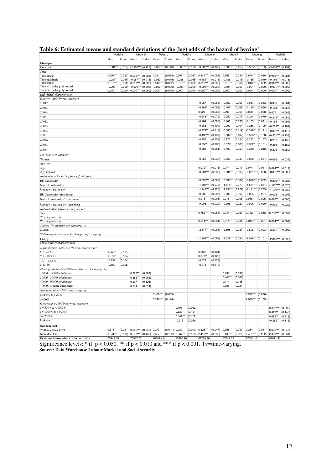| Table 6: Estimated means and standard deviations of the (log) odds of the hazard of leaving <sup>o</sup> |  |
|----------------------------------------------------------------------------------------------------------|--|

|                                                          | Model a     |                    | Model b                    |                    | Model c               |                    | Model d            |                    | Model e               |                    | Model 1              |                    | Model g             |                    | Model h                 |                    |
|----------------------------------------------------------|-------------|--------------------|----------------------------|--------------------|-----------------------|--------------------|--------------------|--------------------|-----------------------|--------------------|----------------------|--------------------|---------------------|--------------------|-------------------------|--------------------|
|                                                          |             |                    |                            |                    |                       |                    |                    |                    |                       |                    |                      |                    |                     |                    |                         |                    |
|                                                          | Mean        | St.dev.            | Mean                       | St.dev.            | Mean                  | St.dev.            | Mean               | St.dev.            | Mean                  | St.dev.            | Mean                 | St.dev.            | Mean                | St.dev.            | Mean                    | St.dev.            |
| <b>Fixed part</b>                                        | $-2.681***$ | (0.127)            | $-2.850***$ (0.125)        |                    | $-2.869***$           | (0.140)            | $-2.800***$        | (0.130)            | $-3.382***$           | (0.168)            | $-3.539***$          | (0.156)            | $-3.565***$         | (0.159)            | $-3.404***$             |                    |
| Constant                                                 |             |                    |                            |                    |                       |                    |                    |                    |                       |                    |                      |                    |                     |                    |                         | (0.152)            |
| Time<br>Time linear                                      | 0.297       |                    |                            |                    |                       |                    | $0.302*$           |                    |                       |                    |                      |                    | $0.948*$            |                    |                         |                    |
| Time quadratic                                           | $-0.087$    | (0.063)<br>(0.015) | 0.296***<br>$-0.087$       | (0.063)<br>(0.015) | 0.291***<br>$-0.087*$ | (0.068)<br>(0.015) | $-0.088$           | (0.067)<br>(0.015) | 0.941***<br>$-0.184*$ | (0.083)<br>(0.018) | $0.958*$<br>$-0.186$ | (0.081)<br>(0.018) | $-0.185$            | (0.086)<br>(0.019) | $0.959***$<br>$-0.186*$ | (0.084)<br>(0.018) |
| Time cubic                                               | $0.010***$  | (0.002)            | $0.010***$                 | (0.002)            | $0.010***$            | (0.002)            | $0.010***$         | (0.002)            | $0.018***$            | (0.002)            | $0.018***$           | (0.002)            | $0.018***$          | (0.002)            | $0.018***$              | (0.002)            |
| Time 4th order polynomial                                | $-0.000*$   | (0.000)            | $-0.000***$                |                    | $(0.000)$ -0.000***   | (0.000)            | $-0.000*$          | (0.000)            | $-0.001***$           | (0.000)            | $-0.001*$            | (0.000)            | $-0.001*$           | (0.000)            | $-0.001***$             | (0.000)            |
| Time 5th order polynomial                                | $0.000***$  | (0.000)            | $0.000***$                 | (0.000)            | $0.000***$            | (0.000)            | $0.000***$         | (0.000)            | $0.000***$            | (0.000)            | $0.000***$           | (0.000)            | $0.000***$          | (0.000)            | $0.000***$              | (0.000)            |
| <b>Individual characteristics</b>                        |             |                    |                            |                    |                       |                    |                    |                    |                       |                    |                      |                    |                     |                    |                         |                    |
| Quarter (20041= ref. category)                           |             |                    |                            |                    |                       |                    |                    |                    |                       |                    |                      |                    |                     |                    |                         |                    |
| 20042                                                    |             |                    |                            |                    |                       |                    |                    |                    | $-0.067$              | (0.063)            | $-0.067$             | (0.063)            | $-0.067$            | (0.063)            | $-0.066$                | (0.064)            |
| 20043                                                    |             |                    |                            |                    |                       |                    |                    |                    | $-0.163$              | (0.066)            | $-0.162$             | (0.066)            | $-0.160$            | (0.066)            | $-0.162"$               | (0.067)            |
| 20044                                                    |             |                    |                            |                    |                       |                    |                    |                    | 0.005                 | (0.068)            | 0.006                | (0.068)            | 0.008               | (0.068)            | 0.007                   | (0.069)            |
|                                                          |             |                    |                            |                    |                       |                    |                    |                    | $-0.248**$            | (0.079)            | $-0.250*$            | (0.079)            | $-0.244**$          | (0.079)            |                         |                    |
| 20051                                                    |             |                    |                            |                    |                       |                    |                    |                    |                       |                    |                      |                    |                     |                    | $-0.248*$               | (0.080)            |
| 20052                                                    |             |                    |                            |                    |                       |                    |                    |                    | $-0.164$              | (0.090)            | $-0.168$             | (0.090)            | $-0.163$            | (0.091)            | $-0.165$                | (0.091)            |
| 20053                                                    |             |                    |                            |                    |                       |                    |                    |                    | $-0.286*$             | (0.104)            | $-0.290*$            | (0.104)            | $-0.286*$           | (0.105)            | $-0.288**$              | (0.104)            |
| 20054                                                    |             |                    |                            |                    |                       |                    |                    |                    | $-0.379**$            | (0.118)            | $-0.385**$           | (0.119)            | $-0.379**$          | (0.121)            | $-0.382**$              | (0.119)            |
| 20061                                                    |             |                    |                            |                    |                       |                    |                    |                    | $-0.493*$             | (0.137)            | $-0.507$             | (0.137)            | $-0.500*$           | (0.138)            | $-0.501*$               | (0.138)            |
| 20062                                                    |             |                    |                            |                    |                       |                    |                    |                    | $-0.255$              | (0.155)            | $-0.273$             | (0.154)            | $-0.263$            | (0.157)            | $-0.267$                | (0.156)            |
| 20063                                                    |             |                    |                            |                    |                       |                    |                    |                    | $-0.358$              | (0.180)            | $-0.377$             | (0.180)            | $-0.362$            | (0.181)            | $-0.368*$               | (0.182)            |
| 20064                                                    |             |                    |                            |                    |                       |                    |                    |                    | $-0.383$              | (0.251)            | $-0.403$             | (0.250)            | $-0.388$            | (0.248)            | $-0.395$                | (0.250)            |
|                                                          |             |                    |                            |                    |                       |                    |                    |                    |                       |                    |                      |                    |                     |                    |                         |                    |
| Sex (Man=ref. category)                                  |             |                    |                            |                    |                       |                    |                    |                    |                       |                    |                      |                    |                     |                    |                         |                    |
| Woman                                                    |             |                    |                            |                    |                       |                    |                    |                    | $-0.055$              | (0.037)            | $-0.058$             | (0.037)            | $-0.056$            | (0.037)            | $-0.056$                | (0.037)            |
| Age (tv)                                                 |             |                    |                            |                    |                       |                    |                    |                    |                       |                    |                      |                    |                     |                    |                         |                    |
| Age                                                      |             |                    |                            |                    |                       |                    |                    |                    | $0.072***$            | (0.011)            | $0.074***$           | (0.011)            | 0.074**             | (0.011)            | $0.074***$              | (0.011)            |
| Age squared                                              |             |                    |                            |                    |                       |                    |                    |                    | $-0.001**$            | (0.000)            | $-0.001*$            | (0.000)            | $-0.001$            | (0.000)            | $-0.001**$              | (0.000)            |
| Nationality at birth (Belgian= ref. category)            |             |                    |                            |                    |                       |                    |                    |                    |                       |                    |                      |                    |                     |                    |                         |                    |
| <b>EU</b> Nationality                                    |             |                    |                            |                    |                       |                    |                    |                    | $-0.832***$           | (0.080)            | $-0.838**$           | (0.082)            | $-0.826*$           | (0.082)            | $-0.829***$             | (0.083)            |
| Non-EU nationality                                       |             |                    |                            |                    |                       |                    |                    |                    | $-1.598**$            | (0.075)            | $-1.614*$            | (0.079)            | $-1.581$            | (0.081)            | $-1.607**$              | (0.078)            |
| Unknown nationality                                      |             |                    |                            |                    |                       |                    |                    |                    | $-1.141"$             | (0.226)            | $-1.151$             | (0.229)            | $-1.111'$           | (0.233)            | $-1.139**$              | (0.230)            |
| EU Nationality *time linear                              |             |                    |                            |                    |                       |                    |                    |                    | $-0.005$              | (0.007)            | $-0.005$             | (0.007)            | $-0.005$            | (0.007)            | $-0.005$                | (0.007)            |
| Non-EU nationality *time linear                          |             |                    |                            |                    |                       |                    |                    |                    | $0.015*$              | (0.005)            | $0.016*$             | (0.005)            | $0.016**$           | (0.005)            | $0.016**$               | (0.005)            |
|                                                          |             |                    |                            |                    |                       |                    |                    |                    |                       |                    |                      |                    |                     |                    |                         |                    |
| Unknown nationality*time linear                          |             |                    |                            |                    |                       |                    |                    |                    | $-0.006$              | (0.020)            | $-0.006$             | (0.020)            | $-0.006$            | (0.020)            | $-0.006$                | (0.020)            |
| Naturalisation (No=ref. category, tv)                    |             |                    |                            |                    |                       |                    |                    |                    |                       |                    |                      |                    |                     |                    |                         |                    |
| Yes                                                      |             |                    |                            |                    |                       |                    |                    |                    | $0.752***$            | (0.056)            | $0.744***$           | (0.057)            | 0.732***            | (0.058)            | 0.753***                | (0.057)            |
| Working intensity                                        |             |                    |                            |                    |                       |                    |                    |                    |                       |                    |                      |                    |                     |                    |                         |                    |
| Working intensity                                        |             |                    |                            |                    |                       |                    |                    |                    | $0.014***$            | (0.001)            | $0.014***$           | (0.001)            | 0.014***            | (0.001)            | $0.014***$              | (0.001)            |
| Student (No student= ref. category, tv)                  |             |                    |                            |                    |                       |                    |                    |                    |                       |                    |                      |                    |                     |                    |                         |                    |
| Student                                                  |             |                    |                            |                    |                       |                    |                    |                    | $-2.877*$             | (0.088)            | $-2.898*$            | (0.087)            | $-2.896*$           | (0.093)            | $-2.891**$              | (0.092)            |
| Welfare agency change (No change= ref. category)         |             |                    |                            |                    |                       |                    |                    |                    |                       |                    |                      |                    |                     |                    |                         |                    |
| Change                                                   |             |                    |                            |                    |                       |                    |                    |                    | $-1.994***$           | (0.092)            | -2.022*** (0.094)    |                    | $-2.016***$ (0.101) |                    | $-2.016***$             | (0.096)            |
| Municipality characteristics                             |             |                    |                            |                    |                       |                    |                    |                    |                       |                    |                      |                    |                     |                    |                         |                    |
| Unemployment rate $(< 5.7\% = ref.$ category, tv)        |             |                    |                            |                    |                       |                    |                    |                    |                       |                    |                      |                    |                     |                    |                         |                    |
| 5.7 - 7.4 %                                              | $0.262$ *   | (0.101)            |                            |                    |                       |                    |                    |                    | 0.286'                | (0.121)            |                      |                    |                     |                    |                         |                    |
| $7.5 - 10.3 %$                                           | $0.277**$   | (0.104)            |                            |                    |                       |                    |                    |                    | $0.377*$              | (0.125)            |                      |                    |                     |                    |                         |                    |
| 10.4 - 13.6 %                                            | $-0.131$    | (0.104)            |                            |                    |                       |                    |                    |                    | $-0.022$              | (0.124)            |                      |                    |                     |                    |                         |                    |
| > 13.6%                                                  | $-0.160$    | (0.098)            |                            |                    |                       |                    |                    |                    | $-0.018$              | (0.119)            |                      |                    |                     |                    |                         |                    |
| Municipality size (<10000 inhabitants=ref. category, tv) |             |                    |                            |                    |                       |                    |                    |                    |                       |                    |                      |                    |                     |                    |                         |                    |
| 10000 - 19999 inhabitants                                |             |                    | $0.227**$                  | (0.083)            |                       |                    |                    |                    |                       |                    | 0.191                | (0.098)            |                     |                    |                         |                    |
| 20000 - 39999 inhabitants                                |             |                    | $0.386***$                 | (0.092)            |                       |                    |                    |                    |                       |                    | $0.441***$           | (0.107)            |                     |                    |                         |                    |
| 40000 - 99999 inhabitants                                |             |                    | 0.297                      | (0.125)            |                       |                    |                    |                    |                       |                    | $0.414*$             | (0.145)            |                     |                    |                         |                    |
| 100000 or more inhabitants                               |             |                    | 0.164                      | (0.214)            |                       |                    |                    |                    |                       |                    | 0.358                | (0.224)            |                     |                    |                         |                    |
| Activation rate (<10% = ref. category)                   |             |                    |                            |                    |                       |                    |                    |                    |                       |                    |                      |                    |                     |                    |                         |                    |
| $>=10\%$ & < 20%                                         |             |                    |                            |                    | 0.480***              | (0.069)            |                    |                    |                       |                    |                      |                    | 0.532***            | (0.076)            |                         |                    |
|                                                          |             |                    |                            |                    |                       |                    |                    |                    |                       |                    |                      |                    |                     |                    |                         |                    |
| $>=20%$                                                  |             |                    |                            |                    | 0.740***              | (0.124)            |                    |                    |                       |                    |                      |                    | $1.000***$          | (0.139)            |                         |                    |
| Generosity (< 500€/year=ref. category)                   |             |                    |                            |                    |                       |                    |                    |                    |                       |                    |                      |                    |                     |                    |                         |                    |
| >= 500 € & < 1000 €                                      |             |                    |                            |                    |                       |                    | $0.401***$         | (0.082)            |                       |                    |                      |                    |                     |                    | $0.362***$              | (0.096)            |
| $>=1000 \text{ }\mathcal{E} \< 5000 \text{ }\mathcal{E}$ |             |                    |                            |                    |                       |                    | $0.637***$         | (0.121)            |                       |                    |                      |                    |                     |                    | $0.419**$               | (0.146)            |
| $>= 2000 \text{ } \in$                                   |             |                    |                            |                    |                       |                    | $0.841***$         | (0.182)            |                       |                    |                      |                    |                     |                    | $0.695*$                | (0.218)            |
| Unknown                                                  |             |                    |                            |                    |                       |                    | $-0.215*$          | (0.096)            |                       |                    |                      |                    |                     |                    | $-0.282"$               | (0.115)            |
| <b>Random</b> part                                       |             |                    |                            |                    |                       |                    |                    |                    |                       |                    |                      |                    |                     |                    |                         |                    |
| Welfare agency level                                     | $0.318*$    |                    | $(0.041)$ 0.345*** (0.045) |                    | 0.273***              |                    | $(0.041)$ 0.289*** |                    | $(0.042)$ 0.325***    | (0.047)            | $0.356***$           | (0.049)            | $0.254***$          | (0.041)            | 0.326***                | (0.046)            |
| Individual level                                         | $0.641***$  |                    | $(0.139) 0.637***$         | (0.146)            | 0.627**               |                    | $(0.192)$ 0.667*** |                    | $(0.183)$ 2.418***    | (0.233)            | 2.495***             | (0.226)            | 2.461***            | (0.262)            | 2.499***                | (0.251)            |
| Deviance Information Criterion (DIC)                     | 75948.45    |                    | 75957.63                   |                    | 76001.45              |                    | 75895.90           |                    | 67780.36              |                    | 67647.32             |                    | 67704.10            |                    | 67641.90                |                    |

<u>Deviance Information Criterion (DIC)</u> 75948.45 75957.63 76001.45 75895.90 67780.36 67647.32 67704.10 67641.90<br>Significance levels: \* if p < 0.050, \*\* if p < 0.010 and \*\*\* if p < 0.001. Tv=time-varying. **Source: Data Warehouse Labour Market and Social security**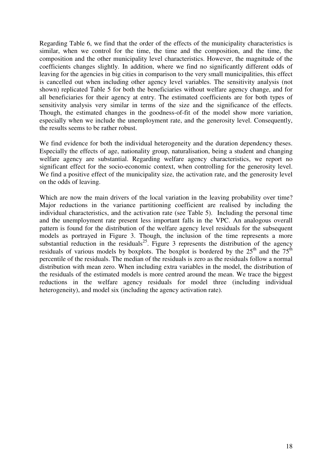Regarding Table 6, we find that the order of the effects of the municipality characteristics is similar, when we control for the time, the time and the composition, and the time, the composition and the other municipality level characteristics. However, the magnitude of the coefficients changes slightly. In addition, where we find no significantly different odds of leaving for the agencies in big cities in comparison to the very small municipalities, this effect is cancelled out when including other agency level variables. The sensitivity analysis (not shown) replicated Table 5 for both the beneficiaries without welfare agency change, and for all beneficiaries for their agency at entry. The estimated coefficients are for both types of sensitivity analysis very similar in terms of the size and the significance of the effects. Though, the estimated changes in the goodness-of-fit of the model show more variation, especially when we include the unemployment rate, and the generosity level. Consequently, the results seems to be rather robust.

We find evidence for both the individual heterogeneity and the duration dependency theses. Especially the effects of age, nationality group, naturalisation, being a student and changing welfare agency are substantial. Regarding welfare agency characteristics, we report no significant effect for the socio-economic context, when controlling for the generosity level. We find a positive effect of the municipality size, the activation rate, and the generosity level on the odds of leaving.

Which are now the main drivers of the local variation in the leaving probability over time? Major reductions in the variance partitioning coefficient are realised by including the individual characteristics, and the activation rate (see Table 5). Including the personal time and the unemployment rate present less important falls in the VPC. An analogous overall pattern is found for the distribution of the welfare agency level residuals for the subsequent models as portrayed in Figure 3. Though, the inclusion of the time represents a more substantial reduction in the residuals<sup>25</sup>. Figure 3 represents the distribution of the agency residuals of various models by boxplots. The boxplot is bordered by the  $25<sup>th</sup>$  and the  $75<sup>th</sup>$ percentile of the residuals. The median of the residuals is zero as the residuals follow a normal distribution with mean zero. When including extra variables in the model, the distribution of the residuals of the estimated models is more centred around the mean. We trace the biggest reductions in the welfare agency residuals for model three (including individual heterogeneity), and model six (including the agency activation rate).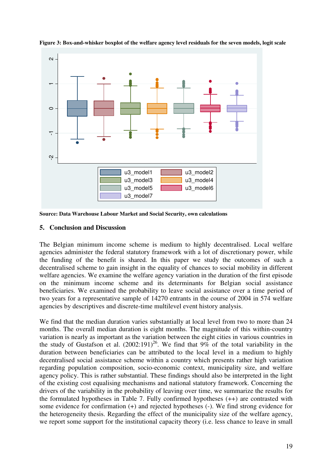

**Figure 3: Box-and-whisker boxplot of the welfare agency level residuals for the seven models, logit scale** 

**Source: Data Warehouse Labour Market and Social Security, own calculations** 

### **5. Conclusion and Discussion**

The Belgian minimum income scheme is medium to highly decentralised. Local welfare agencies administer the federal statutory framework with a lot of discretionary power, while the funding of the benefit is shared. In this paper we study the outcomes of such a decentralised scheme to gain insight in the equality of chances to social mobility in different welfare agencies. We examine the welfare agency variation in the duration of the first episode on the minimum income scheme and its determinants for Belgian social assistance beneficiaries. We examined the probability to leave social assistance over a time period of two years for a representative sample of 14270 entrants in the course of 2004 in 574 welfare agencies by descriptives and discrete-time multilevel event history analysis.

We find that the median duration varies substantially at local level from two to more than 24 months. The overall median duration is eight months. The magnitude of this within-country variation is nearly as important as the variation between the eight cities in various countries in the study of Gustafson et al.  $(2002:191)^{26}$ . We find that 9% of the total variability in the duration between beneficiaries can be attributed to the local level in a medium to highly decentralised social assistance scheme within a country which presents rather high variation regarding population composition, socio-economic context, municipality size, and welfare agency policy. This is rather substantial. These findings should also be interpreted in the light of the existing cost equalising mechanisms and national statutory framework. Concerning the drivers of the variability in the probability of leaving over time, we summarize the results for the formulated hypotheses in Table 7. Fully confirmed hypotheses (++) are contrasted with some evidence for confirmation (+) and rejected hypotheses (-). We find strong evidence for the heterogeneity thesis. Regarding the effect of the municipality size of the welfare agency, we report some support for the institutional capacity theory (i.e. less chance to leave in small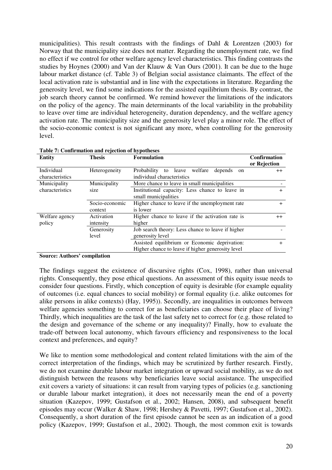municipalities). This result contrasts with the findings of Dahl & Lorentzen (2003) for Norway that the municipality size does not matter. Regarding the unemployment rate, we find no effect if we control for other welfare agency level characteristics. This finding contrasts the studies by Hoynes (2000) and Van der Klauw & Van Ours (2001). It can be due to the huge labour market distance (cf. Table 3) of Belgian social assistance claimants. The effect of the local activation rate is substantial and in line with the expectations in literature. Regarding the generosity level, we find some indications for the assisted equilibrium thesis. By contrast, the job search theory cannot be confirmed. We remind however the limitations of the indicators on the policy of the agency. The main determinants of the local variability in the probability to leave over time are individual heterogeneity, duration dependency, and the welfare agency activation rate. The municipality size and the generosity level play a minor role. The effect of the socio-economic context is not significant any more, when controlling for the generosity level.

| <b>Entity</b>                 | <b>Thesis</b>                                                | <b>Formulation</b>                                                                                 | <b>Confirmation</b><br>or Rejection |  |  |  |  |  |  |
|-------------------------------|--------------------------------------------------------------|----------------------------------------------------------------------------------------------------|-------------------------------------|--|--|--|--|--|--|
| Individual<br>characteristics | Heterogeneity                                                | to leave welfare<br>Probability<br>depends<br>on<br>individual characteristics                     | $++$                                |  |  |  |  |  |  |
| Municipality                  | Municipality<br>More chance to leave in small municipalities |                                                                                                    |                                     |  |  |  |  |  |  |
| characteristics               | size                                                         | Institutional capacity: Less chance to leave in<br>small municipalities                            | $\pm$                               |  |  |  |  |  |  |
|                               | Higher chance to leave if the unemployment rate              | $\pm$                                                                                              |                                     |  |  |  |  |  |  |
|                               | context                                                      | is lower                                                                                           |                                     |  |  |  |  |  |  |
| Welfare agency<br>policy      | Activation<br>intensity                                      | Higher chance to leave if the activation rate is<br>higher                                         | $^{++}$                             |  |  |  |  |  |  |
|                               | Generosity<br>level                                          | Job search theory: Less chance to leave if higher<br>generosity level                              |                                     |  |  |  |  |  |  |
|                               |                                                              | Assisted equilibrium or Economic deprivation:<br>Higher chance to leave if higher generosity level | $^{+}$                              |  |  |  |  |  |  |

### **Table 7: Confirmation and rejection of hypotheses**

**Source: Authors' compilation** 

The findings suggest the existence of discursive rights (Cox, 1998), rather than universal rights. Consequently, they pose ethical questions. An assessment of this equity issue needs to consider four questions. Firstly, which conception of equity is desirable (for example equality of outcomes (i.e. equal chances to social mobility) or formal equality (i.e. alike outcomes for alike persons in alike contexts) (Hay, 1995)). Secondly, are inequalities in outcomes between welfare agencies something to correct for as beneficiaries can choose their place of living? Thirdly, which inequalities are the task of the last safety net to correct for (e.g. those related to the design and governance of the scheme or any inequality)? Finally, how to evaluate the trade-off between local autonomy, which favours efficiency and responsiveness to the local context and preferences, and equity?

We like to mention some methodological and content related limitations with the aim of the correct interpretation of the findings, which may be scrutinized by further research. Firstly, we do not examine durable labour market integration or upward social mobility, as we do not distinguish between the reasons why beneficiaries leave social assistance. The unspecified exit covers a variety of situations: it can result from varying types of policies (e.g. sanctioning or durable labour market integration), it does not necessarily mean the end of a poverty situation (Kazepov, 1999; Gustafson et al., 2002; Hansen, 2008), and subsequent benefit episodes may occur (Walker & Shaw, 1998; Hershey & Pavetti, 1997; Gustafson et al., 2002). Consequently, a short duration of the first episode cannot be seen as an indication of a good policy (Kazepov, 1999; Gustafson et al., 2002). Though, the most common exit is towards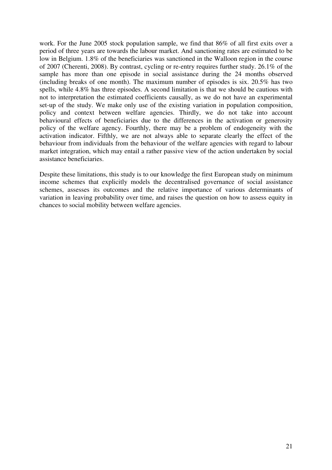work. For the June 2005 stock population sample, we find that 86% of all first exits over a period of three years are towards the labour market. And sanctioning rates are estimated to be low in Belgium. 1.8% of the beneficiaries was sanctioned in the Walloon region in the course of 2007 (Cherenti, 2008). By contrast, cycling or re-entry requires further study. 26.1% of the sample has more than one episode in social assistance during the 24 months observed (including breaks of one month). The maximum number of episodes is six. 20.5% has two spells, while 4.8% has three episodes. A second limitation is that we should be cautious with not to interpretation the estimated coefficients causally, as we do not have an experimental set-up of the study. We make only use of the existing variation in population composition, policy and context between welfare agencies. Thirdly, we do not take into account behavioural effects of beneficiaries due to the differences in the activation or generosity policy of the welfare agency. Fourthly, there may be a problem of endogeneity with the activation indicator. Fifthly, we are not always able to separate clearly the effect of the behaviour from individuals from the behaviour of the welfare agencies with regard to labour market integration, which may entail a rather passive view of the action undertaken by social assistance beneficiaries.

Despite these limitations, this study is to our knowledge the first European study on minimum income schemes that explicitly models the decentralised governance of social assistance schemes, assesses its outcomes and the relative importance of various determinants of variation in leaving probability over time, and raises the question on how to assess equity in chances to social mobility between welfare agencies.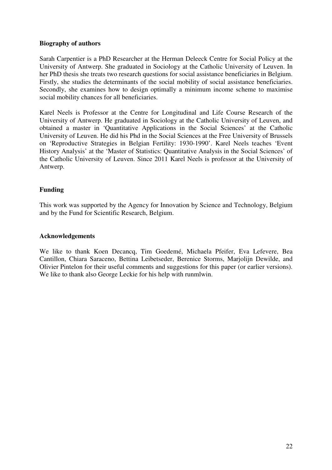## **Biography of authors**

Sarah Carpentier is a PhD Researcher at the Herman Deleeck Centre for Social Policy at the University of Antwerp. She graduated in Sociology at the Catholic University of Leuven. In her PhD thesis she treats two research questions for social assistance beneficiaries in Belgium. Firstly, she studies the determinants of the social mobility of social assistance beneficiaries. Secondly, she examines how to design optimally a minimum income scheme to maximise social mobility chances for all beneficiaries.

Karel Neels is Professor at the Centre for Longitudinal and Life Course Research of the University of Antwerp. He graduated in Sociology at the Catholic University of Leuven, and obtained a master in 'Quantitative Applications in the Social Sciences' at the Catholic University of Leuven. He did his Phd in the Social Sciences at the Free University of Brussels on 'Reproductive Strategies in Belgian Fertility: 1930-1990'. Karel Neels teaches 'Event History Analysis' at the 'Master of Statistics: Quantitative Analysis in the Social Sciences' of the Catholic University of Leuven. Since 2011 Karel Neels is professor at the University of Antwerp.

## **Funding**

This work was supported by the Agency for Innovation by Science and Technology, Belgium and by the Fund for Scientific Research, Belgium.

## **Acknowledgements**

We like to thank Koen Decancq, Tim Goedemé, Michaela Pfeifer, Eva Lefevere, Bea Cantillon, Chiara Saraceno, Bettina Leibetseder, Berenice Storms, Marjolijn Dewilde, and Olivier Pintelon for their useful comments and suggestions for this paper (or earlier versions). We like to thank also George Leckie for his help with runmlwin.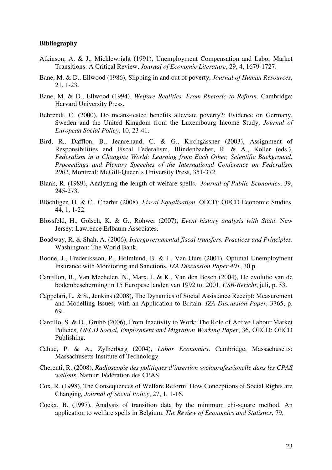#### **Bibliography**

- Atkinson, A. & J., Micklewright (1991), Unemployment Compensation and Labor Market Transitions: A Critical Review, *Journal of Economic Literature*, 29, 4, 1679-1727.
- Bane, M. & D., Ellwood (1986), Slipping in and out of poverty, *Journal of Human Resources*, 21, 1-23.
- Bane, M. & D., Ellwood (1994), *Welfare Realities. From Rhetoric to Reform*. Cambridge: Harvard University Press.
- Behrendt, C. (2000), Do means-tested benefits alleviate poverty?: Evidence on Germany, Sweden and the United Kingdom from the Luxembourg Income Study, *Journal of European Social Policy*, 10, 23-41.
- Bird, R., Dafflon, B., Jeanrenaud, C. & G., Kirchgässner (2003), Assignment of Responsibilities and Fiscal Federalism, Blindenbacher, R. & A., Koller (eds.), *Federalism in a Changing World: Learning from Each Other, Scientific Background, Proceedings and Plenary Speeches of the International Conference on Federalism 2002*, Montreal: McGill-Queen's University Press, 351-372.
- Blank, R. (1989), Analyzing the length of welfare spells. *Journal of Public Economics*, 39, 245-273.
- Blöchliger, H. & C., Charbit (2008), *Fiscal Equalisation*. OECD: OECD Economic Studies, 44, 1, 1-22.
- Blossfeld, H., Golsch, K. & G., Rohwer (2007), *Event history analysis with Stata*. New Jersey: Lawrence Erlbaum Associates.
- Boadway, R. & Shah, A. (2006), *Intergovernmental fiscal transfers. Practices and Principles*. Washington: The World Bank.
- Boone, J., Frederiksson, P., Holmlund, B. & J., Van Ours (2001), Optimal Unemployment Insurance with Monitoring and Sanctions, *IZA Discussion Paper 401*, 30 p.
- Cantillon, B., Van Mechelen, N., Marx, I. & K., Van den Bosch (2004), De evolutie van de bodembescherming in 15 Europese landen van 1992 tot 2001. *CSB-Bericht*, juli, p. 33.
- Cappelari, L. & S., Jenkins (2008), The Dynamics of Social Assistance Receipt: Measurement and Modelling Issues, with an Application to Britain. *IZA Discussion Paper*, 3765, p. 69.
- Carcillo, S. & D., Grubb (2006), From Inactivity to Work: The Role of Active Labour Market Policies, *OECD Social, Employment and Migration Working Paper*, 36, OECD: OECD Publishing.
- Cahuc, P. & A., Zylberberg (2004), *Labor Economics*. Cambridge, Massachusetts: Massachusetts Institute of Technology.
- Cherenti, R. (2008), *Radioscopie des politiques d'insertion socioprofessionelle dans les CPAS wallons*, Namur: Fédération des CPAS.
- Cox, R. (1998), The Consequences of Welfare Reform: How Conceptions of Social Rights are Changing*, Journal of Social Policy*, 27, 1, 1-16.
- Cockx, B. (1997), Analysis of transition data by the minimum chi-square method. An application to welfare spells in Belgium. *The Review of Economics and Statistics,* 79,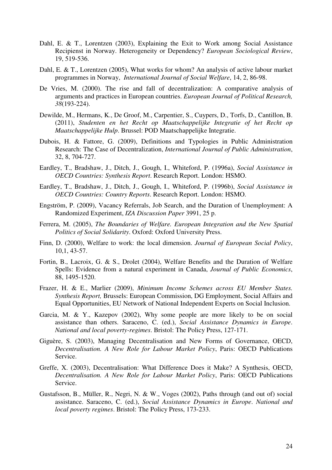- Dahl, E. & T., Lorentzen (2003), Explaining the Exit to Work among Social Assistance Recipienst in Norway. Heterogeneity or Dependency? *European Sociological Review*, 19, 519-536.
- Dahl, E. & T., Lorentzen (2005), What works for whom? An analysis of active labour market programmes in Norway, *International Journal of Social Welfare*, 14, 2, 86-98.
- De Vries, M. (2000). The rise and fall of decentralization: A comparative analysis of arguments and practices in European countries. *European Journal of Political Research, 38*(193-224).
- Dewilde, M., Hermans, K., De Groof, M., Carpentier, S., Cuypers, D., Torfs, D., Cantillon, B. (2011), *Studenten en het Recht op Maatschappelijke Integratie of het Recht op Maatschappelijke Hulp*. Brussel: POD Maatschappelijke Integratie.
- Dubois, H. & Fattore, G. (2009), Definitions and Typologies in Public Administration Research: The Case of Decentralization, *International Journal of Public Administration*, 32, 8, 704-727.
- Eardley, T., Bradshaw, J., Ditch, J., Gough, I., Whiteford, P. (1996a), *Social Assistance in OECD Countries: Synthesis Report*. Research Report. London: HSMO.
- Eardley, T., Bradshaw, J., Ditch, J., Gough, I., Whiteford, P. (1996b), *Social Assistance in OECD Countries: Country Reports*. Research Report. London: HSMO.
- Engström, P. (2009), Vacancy Referrals, Job Search, and the Duration of Unemployment: A Randomized Experiment, *IZA Discussion Paper* 3991, 25 p.
- Ferrera, M. (2005), *The Boundaries of Welfare. European Integration and the New Spatial Politics of Social Solidarity*. Oxford: Oxford University Press.
- Finn, D. (2000), Welfare to work: the local dimension. *Journal of European Social Policy*, 10,1, 43-57.
- Fortin, B., Lacroix, G. & S., Drolet (2004), Welfare Benefits and the Duration of Welfare Spells: Evidence from a natural experiment in Canada, *Journal of Public Economics*, 88, 1495-1520.
- Frazer, H. & E., Marlier (2009), *Minimum Income Schemes across EU Member States. Synthesis Report,* Brussels: European Commission, DG Employment, Social Affairs and Equal Opportunities, EU Network of National Independent Experts on Social Inclusion.
- Garcia, M. & Y., Kazepov (2002), Why some people are more likely to be on social assistance than others. Saraceno, C. (ed.), *Social Assistance Dynamics in Europe*. *National and local poverty-regimes*. Bristol: The Policy Press, 127-171.
- Giguère, S. (2003), Managing Decentralisation and New Forms of Governance, OECD, *Decentralisation. A New Role for Labour Market Policy*, Paris: OECD Publications Service.
- Greffe, X. (2003), Decentralisation: What Difference Does it Make? A Synthesis, OECD, *Decentralisation. A New Role for Labour Market Policy*, Paris: OECD Publications Service.
- Gustafsson, B., Müller, R., Negri, N. & W., Voges (2002), Paths through (and out of) social assistance. Saraceno, C. (ed.), *Social Assistance Dynamics in Europe*. *National and local poverty regimes*. Bristol: The Policy Press, 173-233.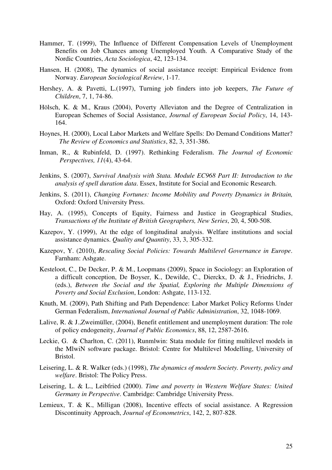- Hammer, T. (1999), The Influence of Different Compensation Levels of Unemployment Benefits on Job Chances among Unemployed Youth. A Comparative Study of the Nordic Countries, *Acta Sociologica*, 42, 123-134.
- Hansen, H. (2008), The dynamics of social assistance receipt: Empirical Evidence from Norway. *European Sociological Review*, 1-17.
- Hershey, A. & Pavetti, L.(1997), Turning job finders into job keepers, *The Future of Children*, 7, 1, 74-86.
- Hölsch, K. & M., Kraus (2004), Poverty Alleviaton and the Degree of Centralization in European Schemes of Social Assistance, *Journal of European Social Policy*, 14, 143- 164.
- Hoynes, H. (2000), Local Labor Markets and Welfare Spells: Do Demand Conditions Matter?  *The Review of Economics and Statistics*, 82, 3, 351-386.
- Inman, R., & Rubinfeld, D. (1997). Rethinking Federalism. *The Journal of Economic Perspectives, 11*(4), 43-64.
- Jenkins, S. (2007), *Survival Analysis with Stata. Module EC968 Part II: Introduction to the analysis of spell duration data*. Essex, Institute for Social and Economic Research.
- Jenkins, S. (2011), *Changing Fortunes: Income Mobility and Poverty Dynamics in Britain,*  Oxford: Oxford University Press.
- Hay, A. (1995), Concepts of Equity, Fairness and Justice in Geographical Studies, *Transactions of the Institute of British Geographers, New Series*, 20, 4, 500-508.
- Kazepov, Y. (1999), At the edge of longitudinal analysis. Welfare institutions and social assistance dynamics. *Quality and Quantity*, 33, 3, 305-332.
- Kazepov, Y. (2010), *Rescaling Social Policies: Towards Multilevel Governance in Europe*. Farnham: Ashgate.
- Kesteloot, C., De Decker, P. & M., Loopmans (2009), Space in Sociology: an Exploration of a difficult conception, De Boyser, K., Dewilde, C., Dierckx, D. & J., Friedrichs, J. (eds.), *Between the Social and the Spatial, Exploring the Multiple Dimensions of Poverty and Social Exclusion*, London: Ashgate, 113-132.
- Knuth, M. (2009), Path Shifting and Path Dependence: Labor Market Policy Reforms Under German Federalism, *International Journal of Public Administration*, 32, 1048-1069.
- Lalive, R. & J.,Zweimüller, (2004), Benefit entitlement and unemployment duration: The role of policy endogeneity, *Journal of Public Economics*, 88, 12, 2587-2616.
- Leckie, G. & Charlton, C. (2011), Runmlwin: Stata module for fitting multilevel models in the MlwiN software package. Bristol: Centre for Multilevel Modelling, University of Bristol.
- Leisering, L. & R. Walker (eds.) (1998), *The dynamics of modern Society. Poverty, policy and welfare*. Bristol: The Policy Press.
- Leisering, L. & L., Leibfried (2000). *Time and poverty in Western Welfare States: United Germany in Perspective*. Cambridge: Cambridge University Press.
- Lemieux, T. & K., Milligan (2008), Incentive effects of social assistance. A Regression Discontinuity Approach, *Journal of Econometrics*, 142, 2, 807-828.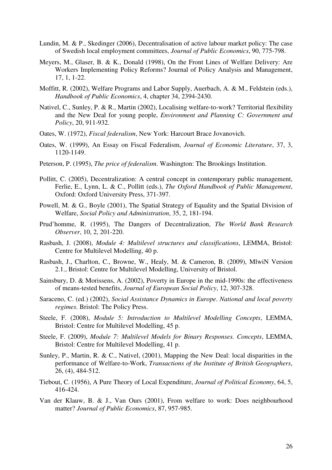- Lundin, M. & P., Skedinger (2006), Decentralisation of active labour market policy: The case of Swedish local employment committees, *Journal of Public Economics*, 90, 775-798.
- Meyers, M., Glaser, B. & K., Donald (1998), On the Front Lines of Welfare Delivery: Are Workers Implementing Policy Reforms? Journal of Policy Analysis and Management, 17, 1, 1-22.
- Moffitt, R. (2002), Welfare Programs and Labor Supply, Auerbach, A. & M., Feldstein (eds.), *Handbook of Public Economics*, 4, chapter 34, 2394-2430.
- Nativel, C., Sunley, P. & R., Martin (2002), Localising welfare-to-work? Territorial flexibility and the New Deal for young people, *Environment and Planning C: Government and Policy*, 20, 911-932.
- Oates, W. (1972), *Fiscal federalism*, New York: Harcourt Brace Jovanovich.
- Oates, W. (1999), An Essay on Fiscal Federalism, *Journal of Economic Literature*, 37, 3, 1120-1149.
- Peterson, P. (1995), *The price of federalism*. Washington: The Brookings Institution.
- Pollitt, C. (2005), Decentralization: A central concept in contemporary public management, Ferlie, E., Lynn, L. & C., Pollitt (eds.), *The Oxford Handbook of Public Management*, Oxford: Oxford University Press, 371-397.
- Powell, M. & G., Boyle (2001), The Spatial Strategy of Equality and the Spatial Division of Welfare, *Social Policy and Administration*, 35, 2, 181-194.
- Prud'homme, R. (1995), The Dangers of Decentralization, *The World Bank Research Observer*, 10, 2, 201-220.
- Rasbash, J. (2008), *Module 4: Multilevel structures and classifications*, LEMMA, Bristol: Centre for Multilevel Modelling, 40 p.
- Rasbash, J., Charlton, C., Browne, W., Healy, M. & Cameron, B. (2009), MlwiN Version 2.1., Bristol: Centre for Multilevel Modelling, University of Bristol.
- Sainsbury, D. & Morissens, A. (2002), Poverty in Europe in the mid-1990s: the effectiveness of means-tested benefits, *Journal of European Social Policy*, 12, 307-328.
- Saraceno, C. (ed.) (2002), *Social Assistance Dynamics in Europe*. *National and local poverty regimes*. Bristol: The Policy Press.
- Steele, F. (2008), *Module 5: Introduction to Multilevel Modelling Concepts*, LEMMA, Bristol: Centre for Multilevel Modelling, 45 p.
- Steele, F. (2009), *Module 7: Multilevel Models for Binary Responses. Concepts*, LEMMA, Bristol: Centre for Multilevel Modelling, 41 p.
- Sunley, P., Martin, R. & C., Nativel, (2001), Mapping the New Deal: local disparities in the performance of Welfare-to-Work, *Transactions of the Institute of British Geographers*, 26, (4), 484-512.
- Tiebout, C. (1956), A Pure Theory of Local Expenditure, *Journal of Political Economy*, 64, 5, 416-424.
- Van der Klauw, B. & J., Van Ours (2001), From welfare to work: Does neighbourhood matter? *Journal of Public Economics*, 87, 957-985.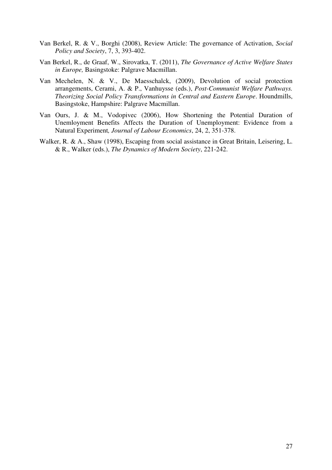- Van Berkel, R. & V., Borghi (2008), Review Article: The governance of Activation, *Social Policy and Society*, 7, 3, 393-402.
- Van Berkel, R., de Graaf, W., Sirovatka, T. (2011), *The Governance of Active Welfare States in Europe,* Basingstoke: Palgrave Macmillan.
- Van Mechelen, N. & V., De Maesschalck, (2009), Devolution of social protection arrangements, Cerami, A. & P., Vanhuysse (eds.), *Post-Communist Welfare Pathways. Theorizing Social Policy Transformations in Central and Eastern Europe*. Houndmills, Basingstoke, Hampshire: Palgrave Macmillan.
- Van Ours, J. & M., Vodopivec (2006), How Shortening the Potential Duration of Unemloyment Benefits Affects the Duration of Unemployment: Evidence from a Natural Experiment*, Journal of Labour Economics*, 24, 2, 351-378.
- Walker, R. & A., Shaw (1998), Escaping from social assistance in Great Britain, Leisering, L. & R., Walker (eds.), *The Dynamics of Modern Society*, 221-242.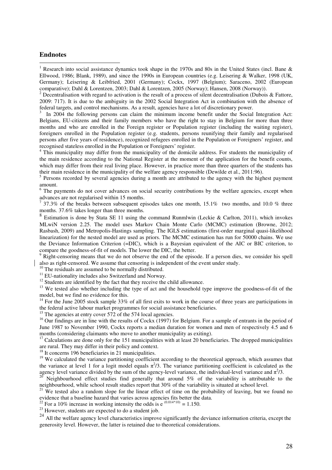#### **Endnotes**

 $\overline{a}$ 

<sup>1</sup> Research into social assistance dynamics took shape in the 1970s and 80s in the United States (incl. Bane  $\&$ Ellwood, 1986; Blank, 1989), and since the 1990s in European countries (e.g. Leisering & Walker, 1998 (UK, Germany); Leisering & Leibfried, 2001 (Germany); Cockx, 1997 (Belgium); Saraceno, 2002 (European comparative); Dahl & Lorentzen, 2003; Dahl & Lorentzen, 2005 (Norway); Hansen, 2008 (Norway)).

<sup>2</sup> Decentralisation with regard to activation is the result of a process of silent decentralisation (Dubois & Fattore, 2009: 717). It is due to the ambiguity in the 2002 Social Integration Act in combination with the absence of federal targets, and control mechanisms. As a result, agencies have a lot of discretionary power.

3 In 2004 the following persons can claim the minimum income benefit under the Social Integration Act: Belgians, EU-citizens and their family members who have the right to stay in Belgium for more than three months and who are enrolled in the Foreign register or Population register (including the waiting register), foreigners enrolled in the Population register (e.g. students, persons reunifying their family and regularised persons after five years of residence), recognized refugees enrolled in the Population or Foreigners' register, and recognised stateless enrolled in the Population or Foreigners' register.

<sup>4</sup> This municipality may differ from the municipality of the domicile address. For students the municipality of the main residence according to the National Register at the moment of the application for the benefit counts, which may differ from their real living place. However, in practice more than three quarters of the students has their main residence in the municipality of the welfare agency responsible (Dewilde et al., 2011:96).

<sup>5</sup> Persons recorded by several agencies during a month are attributed to the agency with the highest payment amount.

<sup>6</sup> The payments do not cover advances on social security contributions by the welfare agencies, except when advances are not regularised within 15 months.

 $7\,37.3\%$  of the breaks between subsequent episodes takes one month, 15.1% two months, and 10.0 % three months. 37.6% takes longer than three months.

8 Estimation is done by Stata SE 11 using the command Runmlwin (Leckie & Carlton, 2011), which invokes MLwiN version 2.25. The model uses Markov Chain Monte Carlo (MCMC) estimation (Browne, 2012; Rasbash, 2009) and Metropolis-Hastings sampling. The IGLS estimations (first-order marginal quasi-likelihood linearization) for the nested model are used as priors. The MCMC estimation has run for 50000 chains. We use the Deviance Information Criterion (=DIC), which is a Bayesian equivalent of the AIC or BIC criterion, to compare the goodness-of-fit of models. The lower the DIC, the better.

<sup>9</sup> Right-censoring means that we do not observe the end of the episode. If a person dies, we consider his spell also as right-censored. We assume that censoring is independent of the event under study.

<sup>10</sup> The residuals are assumed to be normally distributed.

<sup>11</sup> EU-nationality includes also Switzerland and Norway.

<sup>12</sup> Students are identified by the fact that they receive the child allowance.

<sup>13</sup> We tested also whether including the type of act and the household type improve the goodness-of-fit of the model, but we find no evidence for this.

 $14$  For the June 2005 stock sample 33% of all first exits to work in the course of three years are participations in the federal active labour market programmes for social assistance beneficiaries.

 $15$  The agencies at entry cover 572 of the 574 local agencies.

<sup>16</sup> Our findings are in line with the results of Cockx (1997) for Belgium. For a sample of entrants in the period of June 1987 to November 1990, Cockx reports a median duration for women and men of respectively 4.5 and 6 months (considering claimants who move to another municipality as exiting).

 $17$  Calculations are done only for the 151 municipalities with at least 20 beneficiaries. The dropped municipalities are rural. They may differ in their policy and context.

<sup>18</sup> It concerns 196 beneficiaries in 21 municipalities.

<sup>19</sup> We calculated the variance partitioning coefficient according to the theoretical approach, which assumes that the variance at level 1 for a logit model equals  $\pi^2/3$ . The variance partitioning coefficient is calculated as the agency level variance divided by the sum of the agency-level variance, the individual-level variance and  $\pi^2/3$ .

Neighbourhood effect studies find generally that around 5% of the variability is attributable to the neighbourhood, while school result studies report that 30% of the variability is situated at school level.

<sup>21</sup> We tested also a random slope for the linear effect of time on the probability of leaving, but we found no evidence that a baseline hazard that varies across agencies fits better the data.

<sup>22</sup> For a 10% increase in working intensity the odds is e  $^{(0.014*10)}$  = 1.150.

<sup>23</sup> However, students are expected to do a student job.

<sup>24</sup> All the welfare agency level characteristics improve significantly the deviance information criteria, except the generosity level. However, the latter is retained due to theoretical considerations.